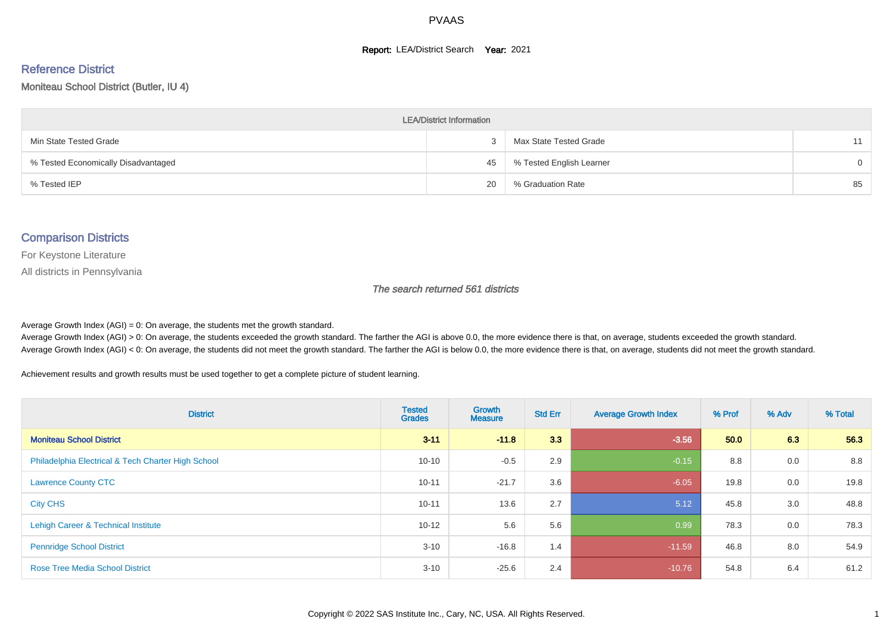#### **Report: LEA/District Search Year: 2021**

# Reference District

#### Moniteau School District (Butler, IU 4)

| <b>LEA/District Information</b>     |    |                          |          |  |  |  |  |  |  |  |
|-------------------------------------|----|--------------------------|----------|--|--|--|--|--|--|--|
| Min State Tested Grade              |    | Max State Tested Grade   | 11       |  |  |  |  |  |  |  |
| % Tested Economically Disadvantaged | 45 | % Tested English Learner | $\Omega$ |  |  |  |  |  |  |  |
| % Tested IEP                        | 20 | % Graduation Rate        | 85       |  |  |  |  |  |  |  |

#### Comparison Districts

For Keystone Literature

All districts in Pennsylvania

The search returned 561 districts

Average Growth Index  $(AGI) = 0$ : On average, the students met the growth standard.

Average Growth Index (AGI) > 0: On average, the students exceeded the growth standard. The farther the AGI is above 0.0, the more evidence there is that, on average, students exceeded the growth standard. Average Growth Index (AGI) < 0: On average, the students did not meet the growth standard. The farther the AGI is below 0.0, the more evidence there is that, on average, students did not meet the growth standard.

Achievement results and growth results must be used together to get a complete picture of student learning.

| <b>District</b>                                    | <b>Tested</b><br><b>Grades</b> | Growth<br><b>Measure</b> | <b>Std Err</b> | <b>Average Growth Index</b> | % Prof | % Adv | % Total |
|----------------------------------------------------|--------------------------------|--------------------------|----------------|-----------------------------|--------|-------|---------|
| <b>Moniteau School District</b>                    | $3 - 11$                       | $-11.8$                  | 3.3            | $-3.56$                     | 50.0   | 6.3   | 56.3    |
| Philadelphia Electrical & Tech Charter High School | $10 - 10$                      | $-0.5$                   | 2.9            | $-0.15$                     | 8.8    | 0.0   | 8.8     |
| <b>Lawrence County CTC</b>                         | $10 - 11$                      | $-21.7$                  | 3.6            | $-6.05$                     | 19.8   | 0.0   | 19.8    |
| <b>City CHS</b>                                    | $10 - 11$                      | 13.6                     | 2.7            | 5.12                        | 45.8   | 3.0   | 48.8    |
| Lehigh Career & Technical Institute                | $10 - 12$                      | 5.6                      | 5.6            | 0.99                        | 78.3   | 0.0   | 78.3    |
| <b>Pennridge School District</b>                   | $3 - 10$                       | $-16.8$                  | 1.4            | $-11.59$                    | 46.8   | 8.0   | 54.9    |
| <b>Rose Tree Media School District</b>             | $3 - 10$                       | $-25.6$                  | 2.4            | $-10.76$                    | 54.8   | 6.4   | 61.2    |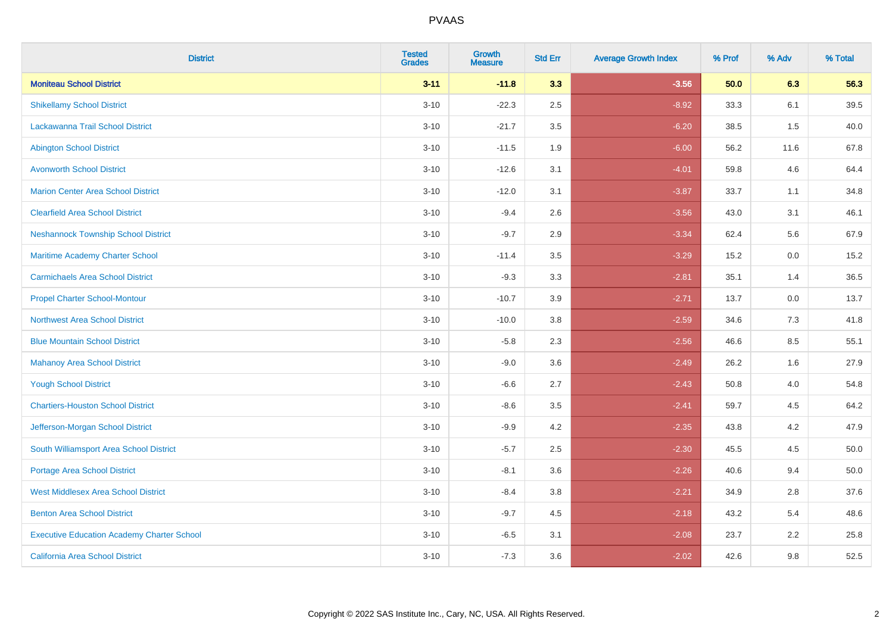| <b>District</b>                                   | <b>Tested</b><br><b>Grades</b> | <b>Growth</b><br><b>Measure</b> | <b>Std Err</b> | <b>Average Growth Index</b> | % Prof | % Adv | % Total |
|---------------------------------------------------|--------------------------------|---------------------------------|----------------|-----------------------------|--------|-------|---------|
| <b>Moniteau School District</b>                   | $3 - 11$                       | $-11.8$                         | 3.3            | $-3.56$                     | 50.0   | 6.3   | 56.3    |
| <b>Shikellamy School District</b>                 | $3 - 10$                       | $-22.3$                         | 2.5            | $-8.92$                     | 33.3   | 6.1   | 39.5    |
| Lackawanna Trail School District                  | $3 - 10$                       | $-21.7$                         | 3.5            | $-6.20$                     | 38.5   | 1.5   | 40.0    |
| <b>Abington School District</b>                   | $3 - 10$                       | $-11.5$                         | 1.9            | $-6.00$                     | 56.2   | 11.6  | 67.8    |
| <b>Avonworth School District</b>                  | $3 - 10$                       | $-12.6$                         | 3.1            | $-4.01$                     | 59.8   | 4.6   | 64.4    |
| <b>Marion Center Area School District</b>         | $3 - 10$                       | $-12.0$                         | 3.1            | $-3.87$                     | 33.7   | 1.1   | 34.8    |
| <b>Clearfield Area School District</b>            | $3 - 10$                       | $-9.4$                          | 2.6            | $-3.56$                     | 43.0   | 3.1   | 46.1    |
| <b>Neshannock Township School District</b>        | $3 - 10$                       | $-9.7$                          | 2.9            | $-3.34$                     | 62.4   | 5.6   | 67.9    |
| Maritime Academy Charter School                   | $3 - 10$                       | $-11.4$                         | 3.5            | $-3.29$                     | 15.2   | 0.0   | 15.2    |
| <b>Carmichaels Area School District</b>           | $3 - 10$                       | $-9.3$                          | 3.3            | $-2.81$                     | 35.1   | 1.4   | 36.5    |
| <b>Propel Charter School-Montour</b>              | $3 - 10$                       | $-10.7$                         | 3.9            | $-2.71$                     | 13.7   | 0.0   | 13.7    |
| <b>Northwest Area School District</b>             | $3 - 10$                       | $-10.0$                         | 3.8            | $-2.59$                     | 34.6   | 7.3   | 41.8    |
| <b>Blue Mountain School District</b>              | $3 - 10$                       | $-5.8$                          | 2.3            | $-2.56$                     | 46.6   | 8.5   | 55.1    |
| <b>Mahanoy Area School District</b>               | $3 - 10$                       | $-9.0$                          | 3.6            | $-2.49$                     | 26.2   | 1.6   | 27.9    |
| <b>Yough School District</b>                      | $3 - 10$                       | $-6.6$                          | 2.7            | $-2.43$                     | 50.8   | 4.0   | 54.8    |
| <b>Chartiers-Houston School District</b>          | $3 - 10$                       | $-8.6$                          | 3.5            | $-2.41$                     | 59.7   | 4.5   | 64.2    |
| Jefferson-Morgan School District                  | $3 - 10$                       | $-9.9$                          | 4.2            | $-2.35$                     | 43.8   | 4.2   | 47.9    |
| South Williamsport Area School District           | $3 - 10$                       | $-5.7$                          | 2.5            | $-2.30$                     | 45.5   | 4.5   | 50.0    |
| <b>Portage Area School District</b>               | $3 - 10$                       | $-8.1$                          | 3.6            | $-2.26$                     | 40.6   | 9.4   | 50.0    |
| <b>West Middlesex Area School District</b>        | $3 - 10$                       | $-8.4$                          | 3.8            | $-2.21$                     | 34.9   | 2.8   | 37.6    |
| <b>Benton Area School District</b>                | $3 - 10$                       | $-9.7$                          | 4.5            | $-2.18$                     | 43.2   | 5.4   | 48.6    |
| <b>Executive Education Academy Charter School</b> | $3 - 10$                       | $-6.5$                          | 3.1            | $-2.08$                     | 23.7   | 2.2   | 25.8    |
| California Area School District                   | $3 - 10$                       | $-7.3$                          | 3.6            | $-2.02$                     | 42.6   | 9.8   | 52.5    |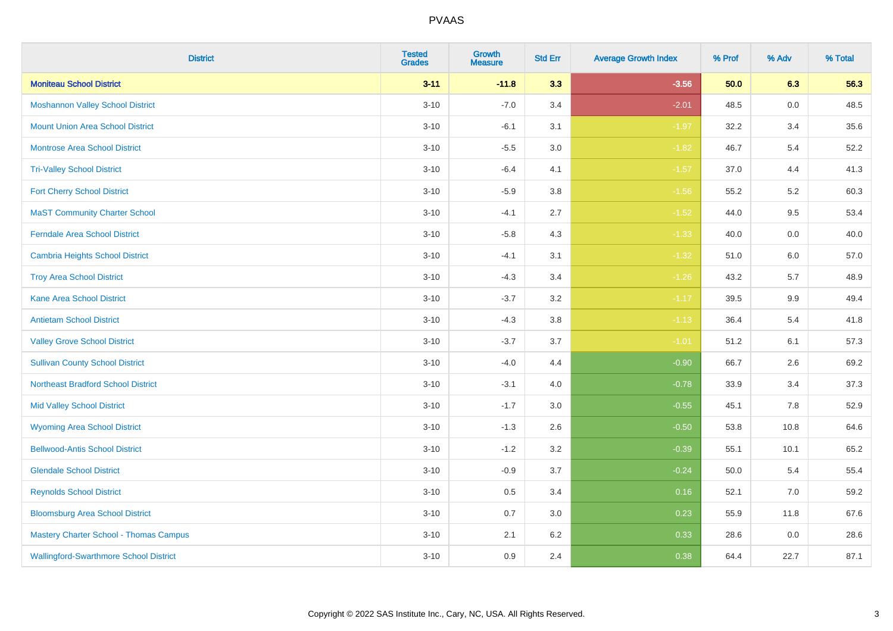| <b>District</b>                               | <b>Tested</b><br><b>Grades</b> | Growth<br><b>Measure</b> | <b>Std Err</b> | <b>Average Growth Index</b> | % Prof | % Adv   | % Total |
|-----------------------------------------------|--------------------------------|--------------------------|----------------|-----------------------------|--------|---------|---------|
| <b>Moniteau School District</b>               | $3 - 11$                       | $-11.8$                  | 3.3            | $-3.56$                     | 50.0   | 6.3     | 56.3    |
| <b>Moshannon Valley School District</b>       | $3 - 10$                       | $-7.0$                   | 3.4            | $-2.01$                     | 48.5   | $0.0\,$ | 48.5    |
| <b>Mount Union Area School District</b>       | $3 - 10$                       | $-6.1$                   | 3.1            | $-1.97$                     | 32.2   | 3.4     | 35.6    |
| Montrose Area School District                 | $3 - 10$                       | $-5.5$                   | 3.0            | $-1.82$                     | 46.7   | $5.4$   | 52.2    |
| <b>Tri-Valley School District</b>             | $3 - 10$                       | $-6.4$                   | 4.1            | $-1.57$                     | 37.0   | 4.4     | 41.3    |
| <b>Fort Cherry School District</b>            | $3 - 10$                       | $-5.9$                   | 3.8            | $-1.56$                     | 55.2   | 5.2     | 60.3    |
| <b>MaST Community Charter School</b>          | $3 - 10$                       | $-4.1$                   | 2.7            | $-1.52$                     | 44.0   | 9.5     | 53.4    |
| <b>Ferndale Area School District</b>          | $3 - 10$                       | $-5.8$                   | 4.3            | $-1.33$                     | 40.0   | 0.0     | 40.0    |
| <b>Cambria Heights School District</b>        | $3 - 10$                       | $-4.1$                   | 3.1            | $-1.32$                     | 51.0   | 6.0     | 57.0    |
| <b>Troy Area School District</b>              | $3 - 10$                       | $-4.3$                   | 3.4            | $-1.26$                     | 43.2   | 5.7     | 48.9    |
| <b>Kane Area School District</b>              | $3 - 10$                       | $-3.7$                   | 3.2            | $-1.17$                     | 39.5   | 9.9     | 49.4    |
| <b>Antietam School District</b>               | $3 - 10$                       | $-4.3$                   | 3.8            | $-1.13$                     | 36.4   | 5.4     | 41.8    |
| <b>Valley Grove School District</b>           | $3 - 10$                       | $-3.7$                   | 3.7            | $-1.01$                     | 51.2   | 6.1     | 57.3    |
| <b>Sullivan County School District</b>        | $3 - 10$                       | $-4.0$                   | 4.4            | $-0.90$                     | 66.7   | 2.6     | 69.2    |
| <b>Northeast Bradford School District</b>     | $3 - 10$                       | $-3.1$                   | 4.0            | $-0.78$                     | 33.9   | 3.4     | 37.3    |
| <b>Mid Valley School District</b>             | $3 - 10$                       | $-1.7$                   | 3.0            | $-0.55$                     | 45.1   | 7.8     | 52.9    |
| <b>Wyoming Area School District</b>           | $3 - 10$                       | $-1.3$                   | 2.6            | $-0.50$                     | 53.8   | 10.8    | 64.6    |
| <b>Bellwood-Antis School District</b>         | $3 - 10$                       | $-1.2$                   | 3.2            | $-0.39$                     | 55.1   | 10.1    | 65.2    |
| <b>Glendale School District</b>               | $3 - 10$                       | $-0.9$                   | 3.7            | $-0.24$                     | 50.0   | 5.4     | 55.4    |
| <b>Reynolds School District</b>               | $3 - 10$                       | 0.5                      | 3.4            | 0.16                        | 52.1   | 7.0     | 59.2    |
| <b>Bloomsburg Area School District</b>        | $3 - 10$                       | 0.7                      | 3.0            | 0.23                        | 55.9   | 11.8    | 67.6    |
| <b>Mastery Charter School - Thomas Campus</b> | $3 - 10$                       | 2.1                      | 6.2            | 0.33                        | 28.6   | 0.0     | 28.6    |
| <b>Wallingford-Swarthmore School District</b> | $3 - 10$                       | 0.9                      | 2.4            | 0.38                        | 64.4   | 22.7    | 87.1    |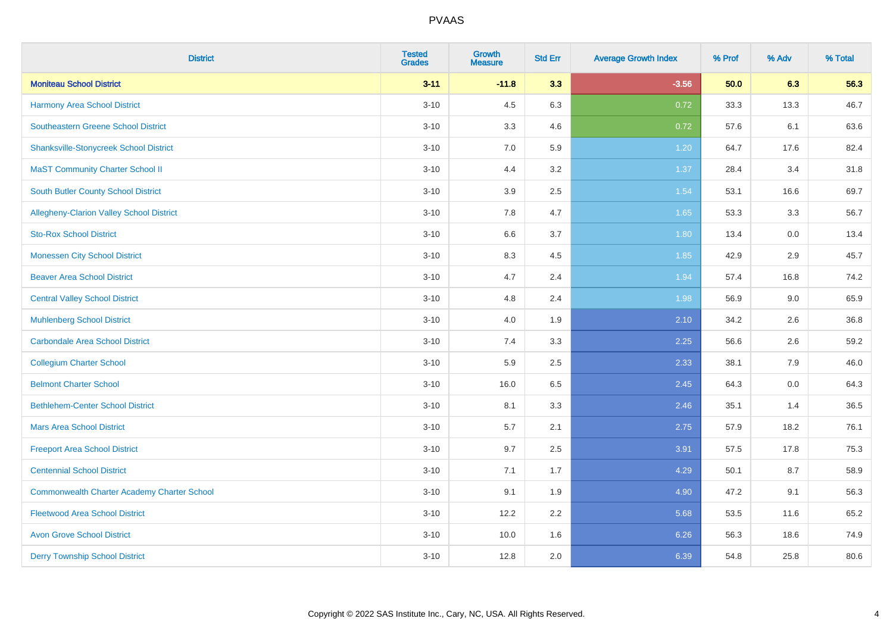| <b>District</b>                                    | <b>Tested</b><br><b>Grades</b> | <b>Growth</b><br><b>Measure</b> | <b>Std Err</b> | <b>Average Growth Index</b> | % Prof | % Adv | % Total |
|----------------------------------------------------|--------------------------------|---------------------------------|----------------|-----------------------------|--------|-------|---------|
| <b>Moniteau School District</b>                    | $3 - 11$                       | $-11.8$                         | 3.3            | $-3.56$                     | 50.0   | 6.3   | 56.3    |
| <b>Harmony Area School District</b>                | $3 - 10$                       | 4.5                             | 6.3            | 0.72                        | 33.3   | 13.3  | 46.7    |
| <b>Southeastern Greene School District</b>         | $3 - 10$                       | 3.3                             | 4.6            | 0.72                        | 57.6   | 6.1   | 63.6    |
| <b>Shanksville-Stonycreek School District</b>      | $3 - 10$                       | $7.0\,$                         | 5.9            | 1.20                        | 64.7   | 17.6  | 82.4    |
| <b>MaST Community Charter School II</b>            | $3 - 10$                       | 4.4                             | 3.2            | 1.37                        | 28.4   | 3.4   | 31.8    |
| <b>South Butler County School District</b>         | $3 - 10$                       | 3.9                             | 2.5            | 1.54                        | 53.1   | 16.6  | 69.7    |
| Allegheny-Clarion Valley School District           | $3 - 10$                       | 7.8                             | 4.7            | 1.65                        | 53.3   | 3.3   | 56.7    |
| <b>Sto-Rox School District</b>                     | $3 - 10$                       | 6.6                             | 3.7            | 1.80                        | 13.4   | 0.0   | 13.4    |
| <b>Monessen City School District</b>               | $3 - 10$                       | 8.3                             | 4.5            | 1.85                        | 42.9   | 2.9   | 45.7    |
| <b>Beaver Area School District</b>                 | $3 - 10$                       | 4.7                             | 2.4            | 1.94                        | 57.4   | 16.8  | 74.2    |
| <b>Central Valley School District</b>              | $3 - 10$                       | 4.8                             | 2.4            | 1.98                        | 56.9   | 9.0   | 65.9    |
| <b>Muhlenberg School District</b>                  | $3 - 10$                       | 4.0                             | 1.9            | 2.10                        | 34.2   | 2.6   | 36.8    |
| <b>Carbondale Area School District</b>             | $3 - 10$                       | 7.4                             | 3.3            | 2.25                        | 56.6   | 2.6   | 59.2    |
| <b>Collegium Charter School</b>                    | $3 - 10$                       | 5.9                             | 2.5            | 2.33                        | 38.1   | 7.9   | 46.0    |
| <b>Belmont Charter School</b>                      | $3 - 10$                       | 16.0                            | 6.5            | 2.45                        | 64.3   | 0.0   | 64.3    |
| <b>Bethlehem-Center School District</b>            | $3 - 10$                       | 8.1                             | 3.3            | 2.46                        | 35.1   | 1.4   | 36.5    |
| <b>Mars Area School District</b>                   | $3 - 10$                       | 5.7                             | 2.1            | 2.75                        | 57.9   | 18.2  | 76.1    |
| <b>Freeport Area School District</b>               | $3 - 10$                       | 9.7                             | 2.5            | 3.91                        | 57.5   | 17.8  | 75.3    |
| <b>Centennial School District</b>                  | $3 - 10$                       | 7.1                             | 1.7            | 4.29                        | 50.1   | 8.7   | 58.9    |
| <b>Commonwealth Charter Academy Charter School</b> | $3 - 10$                       | 9.1                             | 1.9            | 4.90                        | 47.2   | 9.1   | 56.3    |
| <b>Fleetwood Area School District</b>              | $3 - 10$                       | 12.2                            | 2.2            | 5.68                        | 53.5   | 11.6  | 65.2    |
| <b>Avon Grove School District</b>                  | $3 - 10$                       | 10.0                            | 1.6            | 6.26                        | 56.3   | 18.6  | 74.9    |
| <b>Derry Township School District</b>              | $3 - 10$                       | 12.8                            | 2.0            | 6.39                        | 54.8   | 25.8  | 80.6    |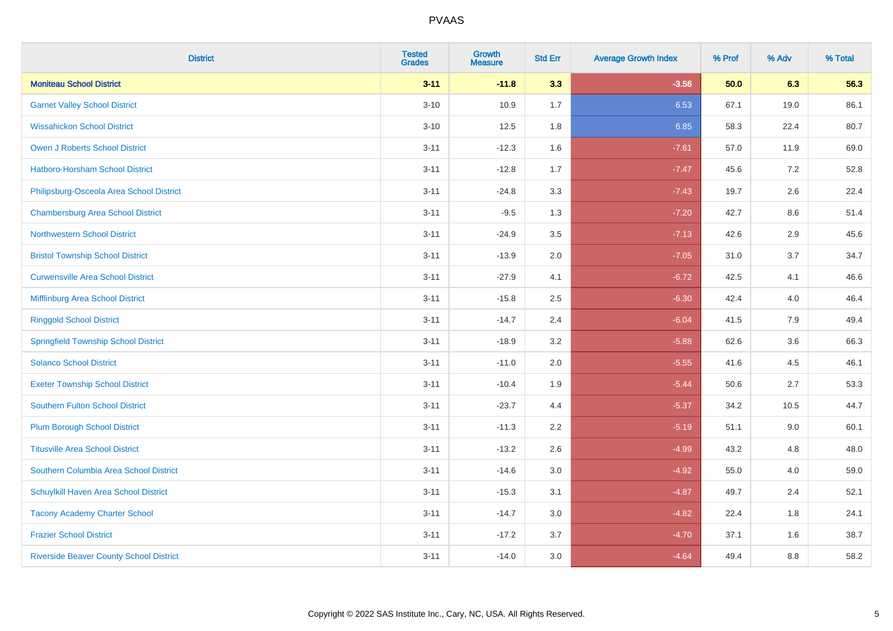| <b>District</b>                                | <b>Tested</b><br><b>Grades</b> | Growth<br><b>Measure</b> | <b>Std Err</b> | <b>Average Growth Index</b> | % Prof | % Adv   | % Total |
|------------------------------------------------|--------------------------------|--------------------------|----------------|-----------------------------|--------|---------|---------|
| <b>Moniteau School District</b>                | $3 - 11$                       | $-11.8$                  | 3.3            | $-3.56$                     | 50.0   | 6.3     | 56.3    |
| <b>Garnet Valley School District</b>           | $3 - 10$                       | 10.9                     | 1.7            | 6.53                        | 67.1   | 19.0    | 86.1    |
| <b>Wissahickon School District</b>             | $3 - 10$                       | 12.5                     | 1.8            | 6.85                        | 58.3   | 22.4    | 80.7    |
| Owen J Roberts School District                 | $3 - 11$                       | $-12.3$                  | 1.6            | $-7.61$                     | 57.0   | 11.9    | 69.0    |
| <b>Hatboro-Horsham School District</b>         | $3 - 11$                       | $-12.8$                  | 1.7            | $-7.47$                     | 45.6   | 7.2     | 52.8    |
| Philipsburg-Osceola Area School District       | $3 - 11$                       | $-24.8$                  | 3.3            | $-7.43$                     | 19.7   | 2.6     | 22.4    |
| <b>Chambersburg Area School District</b>       | $3 - 11$                       | $-9.5$                   | 1.3            | $-7.20$                     | 42.7   | $8.6\,$ | 51.4    |
| <b>Northwestern School District</b>            | $3 - 11$                       | $-24.9$                  | 3.5            | $-7.13$                     | 42.6   | 2.9     | 45.6    |
| <b>Bristol Township School District</b>        | $3 - 11$                       | $-13.9$                  | 2.0            | $-7.05$                     | 31.0   | 3.7     | 34.7    |
| <b>Curwensville Area School District</b>       | $3 - 11$                       | $-27.9$                  | 4.1            | $-6.72$                     | 42.5   | 4.1     | 46.6    |
| Mifflinburg Area School District               | $3 - 11$                       | $-15.8$                  | 2.5            | $-6.30$                     | 42.4   | 4.0     | 46.4    |
| <b>Ringgold School District</b>                | $3 - 11$                       | $-14.7$                  | 2.4            | $-6.04$                     | 41.5   | 7.9     | 49.4    |
| <b>Springfield Township School District</b>    | $3 - 11$                       | $-18.9$                  | 3.2            | $-5.88$                     | 62.6   | 3.6     | 66.3    |
| <b>Solanco School District</b>                 | $3 - 11$                       | $-11.0$                  | 2.0            | $-5.55$                     | 41.6   | 4.5     | 46.1    |
| <b>Exeter Township School District</b>         | $3 - 11$                       | $-10.4$                  | 1.9            | $-5.44$                     | 50.6   | 2.7     | 53.3    |
| <b>Southern Fulton School District</b>         | $3 - 11$                       | $-23.7$                  | 4.4            | $-5.37$                     | 34.2   | 10.5    | 44.7    |
| <b>Plum Borough School District</b>            | $3 - 11$                       | $-11.3$                  | 2.2            | $-5.19$                     | 51.1   | 9.0     | 60.1    |
| <b>Titusville Area School District</b>         | $3 - 11$                       | $-13.2$                  | 2.6            | $-4.99$                     | 43.2   | 4.8     | 48.0    |
| Southern Columbia Area School District         | $3 - 11$                       | $-14.6$                  | 3.0            | $-4.92$                     | 55.0   | 4.0     | 59.0    |
| Schuylkill Haven Area School District          | $3 - 11$                       | $-15.3$                  | 3.1            | $-4.87$                     | 49.7   | 2.4     | 52.1    |
| <b>Tacony Academy Charter School</b>           | $3 - 11$                       | $-14.7$                  | 3.0            | $-4.82$                     | 22.4   | 1.8     | 24.1    |
| <b>Frazier School District</b>                 | $3 - 11$                       | $-17.2$                  | 3.7            | $-4.70$                     | 37.1   | 1.6     | 38.7    |
| <b>Riverside Beaver County School District</b> | $3 - 11$                       | $-14.0$                  | 3.0            | $-4.64$                     | 49.4   | 8.8     | 58.2    |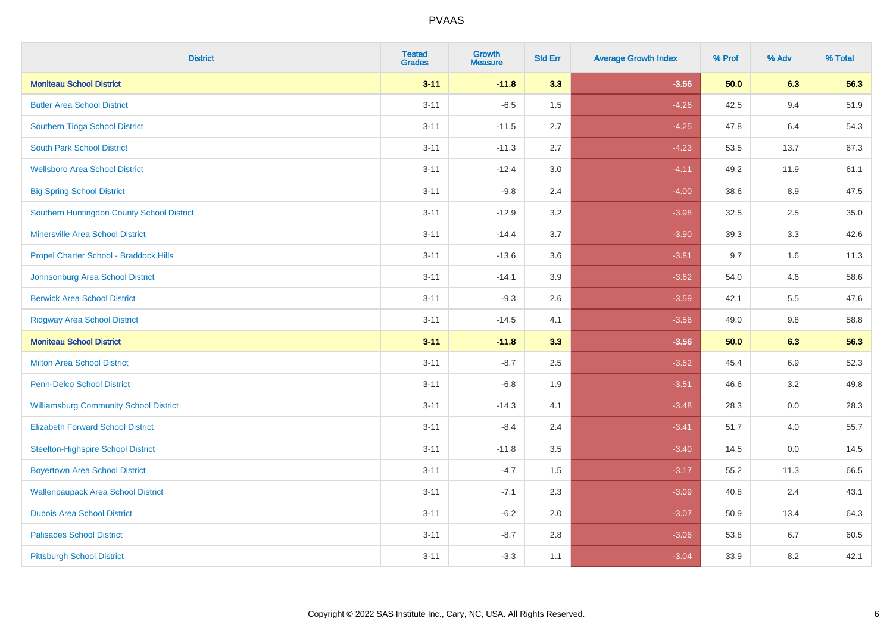| <b>District</b>                               | <b>Tested</b><br><b>Grades</b> | Growth<br><b>Measure</b> | <b>Std Err</b> | <b>Average Growth Index</b> | % Prof | % Adv   | % Total |
|-----------------------------------------------|--------------------------------|--------------------------|----------------|-----------------------------|--------|---------|---------|
| <b>Moniteau School District</b>               | $3 - 11$                       | $-11.8$                  | 3.3            | $-3.56$                     | 50.0   | 6.3     | 56.3    |
| <b>Butler Area School District</b>            | $3 - 11$                       | $-6.5$                   | 1.5            | $-4.26$                     | 42.5   | 9.4     | 51.9    |
| Southern Tioga School District                | $3 - 11$                       | $-11.5$                  | 2.7            | $-4.25$                     | 47.8   | 6.4     | 54.3    |
| <b>South Park School District</b>             | $3 - 11$                       | $-11.3$                  | 2.7            | $-4.23$                     | 53.5   | 13.7    | 67.3    |
| <b>Wellsboro Area School District</b>         | $3 - 11$                       | $-12.4$                  | 3.0            | $-4.11$                     | 49.2   | 11.9    | 61.1    |
| <b>Big Spring School District</b>             | $3 - 11$                       | $-9.8$                   | 2.4            | $-4.00$                     | 38.6   | 8.9     | 47.5    |
| Southern Huntingdon County School District    | $3 - 11$                       | $-12.9$                  | 3.2            | $-3.98$                     | 32.5   | 2.5     | 35.0    |
| <b>Minersville Area School District</b>       | $3 - 11$                       | $-14.4$                  | 3.7            | $-3.90$                     | 39.3   | 3.3     | 42.6    |
| Propel Charter School - Braddock Hills        | $3 - 11$                       | $-13.6$                  | 3.6            | $-3.81$                     | 9.7    | 1.6     | 11.3    |
| Johnsonburg Area School District              | $3 - 11$                       | $-14.1$                  | 3.9            | $-3.62$                     | 54.0   | 4.6     | 58.6    |
| <b>Berwick Area School District</b>           | $3 - 11$                       | $-9.3$                   | 2.6            | $-3.59$                     | 42.1   | 5.5     | 47.6    |
| <b>Ridgway Area School District</b>           | $3 - 11$                       | $-14.5$                  | 4.1            | $-3.56$                     | 49.0   | 9.8     | 58.8    |
| <b>Moniteau School District</b>               | $3 - 11$                       | $-11.8$                  | 3.3            | $-3.56$                     | 50.0   | 6.3     | 56.3    |
| <b>Milton Area School District</b>            | $3 - 11$                       | $-8.7$                   | 2.5            | $-3.52$                     | 45.4   | $6.9\,$ | 52.3    |
| <b>Penn-Delco School District</b>             | $3 - 11$                       | $-6.8$                   | 1.9            | $-3.51$                     | 46.6   | 3.2     | 49.8    |
| <b>Williamsburg Community School District</b> | $3 - 11$                       | $-14.3$                  | 4.1            | $-3.48$                     | 28.3   | 0.0     | 28.3    |
| <b>Elizabeth Forward School District</b>      | $3 - 11$                       | $-8.4$                   | 2.4            | $-3.41$                     | 51.7   | 4.0     | 55.7    |
| <b>Steelton-Highspire School District</b>     | $3 - 11$                       | $-11.8$                  | 3.5            | $-3.40$                     | 14.5   | 0.0     | 14.5    |
| <b>Boyertown Area School District</b>         | $3 - 11$                       | $-4.7$                   | 1.5            | $-3.17$                     | 55.2   | 11.3    | 66.5    |
| <b>Wallenpaupack Area School District</b>     | $3 - 11$                       | $-7.1$                   | 2.3            | $-3.09$                     | 40.8   | 2.4     | 43.1    |
| <b>Dubois Area School District</b>            | $3 - 11$                       | $-6.2$                   | 2.0            | $-3.07$                     | 50.9   | 13.4    | 64.3    |
| <b>Palisades School District</b>              | $3 - 11$                       | $-8.7$                   | 2.8            | $-3.06$                     | 53.8   | 6.7     | 60.5    |
| <b>Pittsburgh School District</b>             | $3 - 11$                       | $-3.3$                   | 1.1            | $-3.04$                     | 33.9   | 8.2     | 42.1    |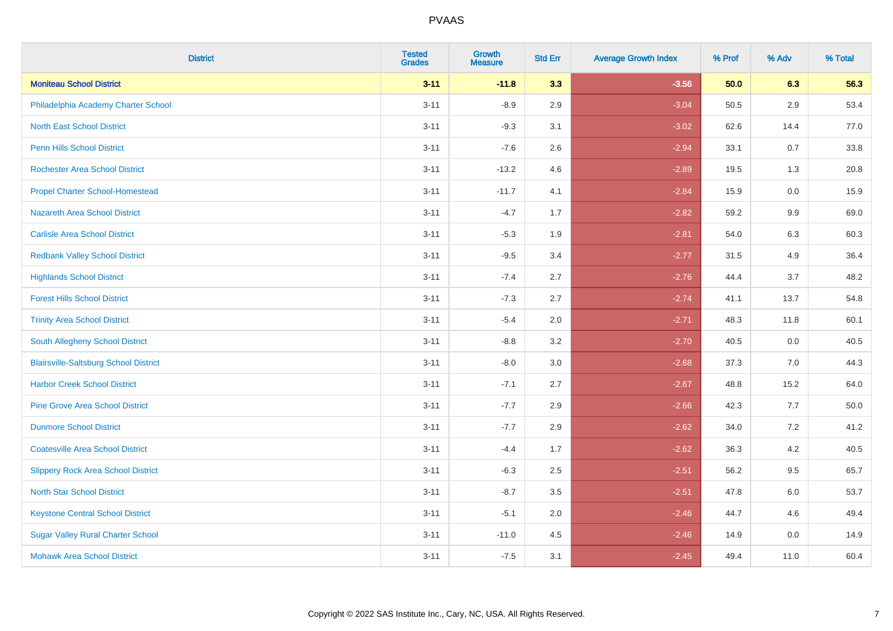| <b>District</b>                              | <b>Tested</b><br><b>Grades</b> | Growth<br><b>Measure</b> | <b>Std Err</b> | <b>Average Growth Index</b> | % Prof | % Adv   | % Total |
|----------------------------------------------|--------------------------------|--------------------------|----------------|-----------------------------|--------|---------|---------|
| <b>Moniteau School District</b>              | $3 - 11$                       | $-11.8$                  | 3.3            | $-3.56$                     | 50.0   | 6.3     | 56.3    |
| Philadelphia Academy Charter School          | $3 - 11$                       | $-8.9$                   | 2.9            | $-3.04$                     | 50.5   | 2.9     | 53.4    |
| <b>North East School District</b>            | $3 - 11$                       | $-9.3$                   | 3.1            | $-3.02$                     | 62.6   | 14.4    | 77.0    |
| Penn Hills School District                   | $3 - 11$                       | $-7.6$                   | 2.6            | $-2.94$                     | 33.1   | 0.7     | 33.8    |
| <b>Rochester Area School District</b>        | $3 - 11$                       | $-13.2$                  | 4.6            | $-2.89$                     | 19.5   | 1.3     | 20.8    |
| <b>Propel Charter School-Homestead</b>       | $3 - 11$                       | $-11.7$                  | 4.1            | $-2.84$                     | 15.9   | 0.0     | 15.9    |
| Nazareth Area School District                | $3 - 11$                       | $-4.7$                   | 1.7            | $-2.82$                     | 59.2   | $9.9\,$ | 69.0    |
| <b>Carlisle Area School District</b>         | $3 - 11$                       | $-5.3$                   | 1.9            | $-2.81$                     | 54.0   | 6.3     | 60.3    |
| <b>Redbank Valley School District</b>        | $3 - 11$                       | $-9.5$                   | 3.4            | $-2.77$                     | 31.5   | 4.9     | 36.4    |
| <b>Highlands School District</b>             | $3 - 11$                       | $-7.4$                   | 2.7            | $-2.76$                     | 44.4   | 3.7     | 48.2    |
| <b>Forest Hills School District</b>          | $3 - 11$                       | $-7.3$                   | 2.7            | $-2.74$                     | 41.1   | 13.7    | 54.8    |
| <b>Trinity Area School District</b>          | $3 - 11$                       | $-5.4$                   | 2.0            | $-2.71$                     | 48.3   | 11.8    | 60.1    |
| South Allegheny School District              | $3 - 11$                       | $-8.8$                   | 3.2            | $-2.70$                     | 40.5   | 0.0     | 40.5    |
| <b>Blairsville-Saltsburg School District</b> | $3 - 11$                       | $-8.0$                   | 3.0            | $-2.68$                     | 37.3   | 7.0     | 44.3    |
| <b>Harbor Creek School District</b>          | $3 - 11$                       | $-7.1$                   | 2.7            | $-2.67$                     | 48.8   | 15.2    | 64.0    |
| <b>Pine Grove Area School District</b>       | $3 - 11$                       | $-7.7$                   | 2.9            | $-2.66$                     | 42.3   | 7.7     | 50.0    |
| <b>Dunmore School District</b>               | $3 - 11$                       | $-7.7$                   | 2.9            | $-2.62$                     | 34.0   | 7.2     | 41.2    |
| <b>Coatesville Area School District</b>      | $3 - 11$                       | $-4.4$                   | 1.7            | $-2.62$                     | 36.3   | 4.2     | 40.5    |
| <b>Slippery Rock Area School District</b>    | $3 - 11$                       | $-6.3$                   | 2.5            | $-2.51$                     | 56.2   | 9.5     | 65.7    |
| <b>North Star School District</b>            | $3 - 11$                       | $-8.7$                   | 3.5            | $-2.51$                     | 47.8   | 6.0     | 53.7    |
| <b>Keystone Central School District</b>      | $3 - 11$                       | $-5.1$                   | 2.0            | $-2.46$                     | 44.7   | 4.6     | 49.4    |
| <b>Sugar Valley Rural Charter School</b>     | $3 - 11$                       | $-11.0$                  | 4.5            | $-2.46$                     | 14.9   | 0.0     | 14.9    |
| <b>Mohawk Area School District</b>           | $3 - 11$                       | $-7.5$                   | 3.1            | $-2.45$                     | 49.4   | 11.0    | 60.4    |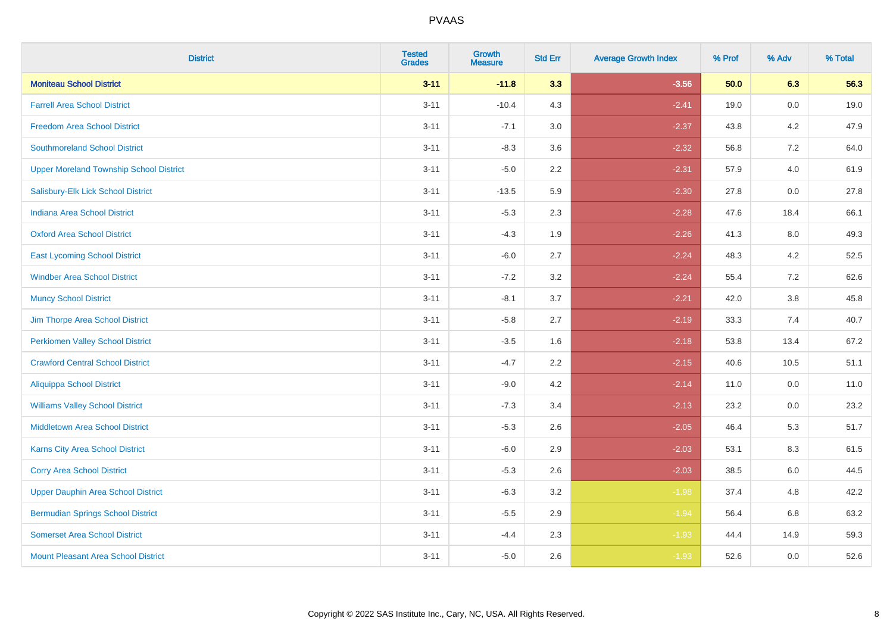| <b>District</b>                                | <b>Tested</b><br><b>Grades</b> | Growth<br><b>Measure</b> | <b>Std Err</b> | <b>Average Growth Index</b> | % Prof | % Adv   | % Total |
|------------------------------------------------|--------------------------------|--------------------------|----------------|-----------------------------|--------|---------|---------|
| <b>Moniteau School District</b>                | $3 - 11$                       | $-11.8$                  | 3.3            | $-3.56$                     | 50.0   | 6.3     | 56.3    |
| <b>Farrell Area School District</b>            | $3 - 11$                       | $-10.4$                  | 4.3            | $-2.41$                     | 19.0   | 0.0     | 19.0    |
| <b>Freedom Area School District</b>            | $3 - 11$                       | $-7.1$                   | 3.0            | $-2.37$                     | 43.8   | 4.2     | 47.9    |
| <b>Southmoreland School District</b>           | $3 - 11$                       | $-8.3$                   | 3.6            | $-2.32$                     | 56.8   | $7.2\,$ | 64.0    |
| <b>Upper Moreland Township School District</b> | $3 - 11$                       | $-5.0$                   | 2.2            | $-2.31$                     | 57.9   | 4.0     | 61.9    |
| Salisbury-Elk Lick School District             | $3 - 11$                       | $-13.5$                  | 5.9            | $-2.30$                     | 27.8   | 0.0     | 27.8    |
| <b>Indiana Area School District</b>            | $3 - 11$                       | $-5.3$                   | 2.3            | $-2.28$                     | 47.6   | 18.4    | 66.1    |
| <b>Oxford Area School District</b>             | $3 - 11$                       | $-4.3$                   | 1.9            | $-2.26$                     | 41.3   | 8.0     | 49.3    |
| <b>East Lycoming School District</b>           | $3 - 11$                       | $-6.0$                   | 2.7            | $-2.24$                     | 48.3   | 4.2     | 52.5    |
| <b>Windber Area School District</b>            | $3 - 11$                       | $-7.2$                   | 3.2            | $-2.24$                     | 55.4   | 7.2     | 62.6    |
| <b>Muncy School District</b>                   | $3 - 11$                       | $-8.1$                   | 3.7            | $-2.21$                     | 42.0   | 3.8     | 45.8    |
| Jim Thorpe Area School District                | $3 - 11$                       | $-5.8$                   | 2.7            | $-2.19$                     | 33.3   | 7.4     | 40.7    |
| <b>Perkiomen Valley School District</b>        | $3 - 11$                       | $-3.5$                   | 1.6            | $-2.18$                     | 53.8   | 13.4    | 67.2    |
| <b>Crawford Central School District</b>        | $3 - 11$                       | $-4.7$                   | 2.2            | $-2.15$                     | 40.6   | 10.5    | 51.1    |
| <b>Aliquippa School District</b>               | $3 - 11$                       | $-9.0$                   | 4.2            | $-2.14$                     | 11.0   | 0.0     | 11.0    |
| <b>Williams Valley School District</b>         | $3 - 11$                       | $-7.3$                   | 3.4            | $-2.13$                     | 23.2   | 0.0     | 23.2    |
| <b>Middletown Area School District</b>         | $3 - 11$                       | $-5.3$                   | 2.6            | $-2.05$                     | 46.4   | 5.3     | 51.7    |
| <b>Karns City Area School District</b>         | $3 - 11$                       | $-6.0$                   | 2.9            | $-2.03$                     | 53.1   | 8.3     | 61.5    |
| <b>Corry Area School District</b>              | $3 - 11$                       | $-5.3$                   | 2.6            | $-2.03$                     | 38.5   | $6.0\,$ | 44.5    |
| <b>Upper Dauphin Area School District</b>      | $3 - 11$                       | $-6.3$                   | 3.2            | $-1.98$                     | 37.4   | 4.8     | 42.2    |
| <b>Bermudian Springs School District</b>       | $3 - 11$                       | $-5.5$                   | 2.9            | $-1.94$                     | 56.4   | 6.8     | 63.2    |
| <b>Somerset Area School District</b>           | $3 - 11$                       | $-4.4$                   | 2.3            | $-1.93$                     | 44.4   | 14.9    | 59.3    |
| <b>Mount Pleasant Area School District</b>     | $3 - 11$                       | $-5.0$                   | 2.6            | $-1.93$                     | 52.6   | 0.0     | 52.6    |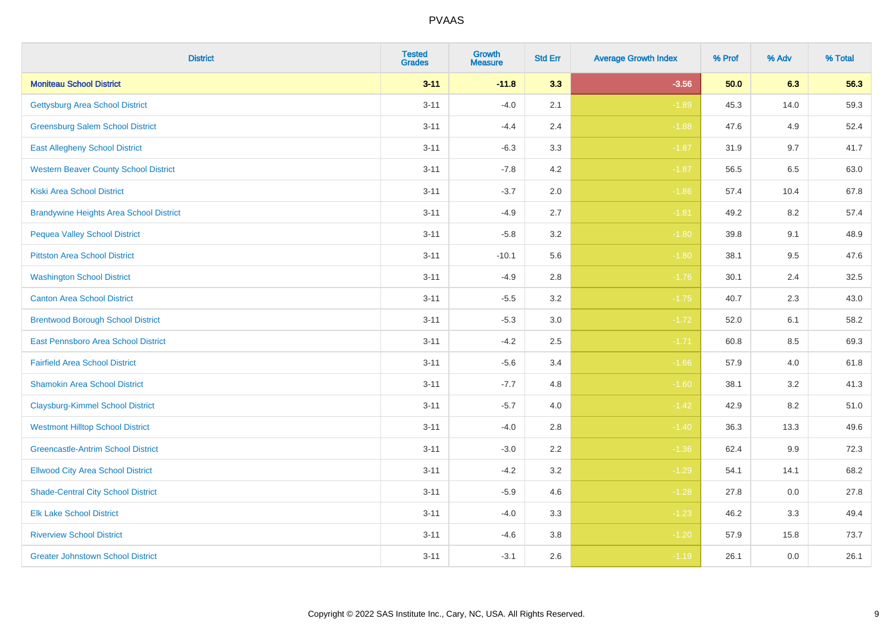| <b>District</b>                                | <b>Tested</b><br><b>Grades</b> | Growth<br><b>Measure</b> | <b>Std Err</b> | <b>Average Growth Index</b> | % Prof | % Adv | % Total |
|------------------------------------------------|--------------------------------|--------------------------|----------------|-----------------------------|--------|-------|---------|
| <b>Moniteau School District</b>                | $3 - 11$                       | $-11.8$                  | 3.3            | $-3.56$                     | 50.0   | 6.3   | 56.3    |
| <b>Gettysburg Area School District</b>         | $3 - 11$                       | $-4.0$                   | 2.1            | $-1.89$                     | 45.3   | 14.0  | 59.3    |
| <b>Greensburg Salem School District</b>        | $3 - 11$                       | $-4.4$                   | 2.4            | $-1.88$                     | 47.6   | 4.9   | 52.4    |
| <b>East Allegheny School District</b>          | $3 - 11$                       | $-6.3$                   | 3.3            | $-1.87$                     | 31.9   | 9.7   | 41.7    |
| <b>Western Beaver County School District</b>   | $3 - 11$                       | $-7.8$                   | 4.2            | $-1.87$                     | 56.5   | 6.5   | 63.0    |
| <b>Kiski Area School District</b>              | $3 - 11$                       | $-3.7$                   | 2.0            | $-1.86$                     | 57.4   | 10.4  | 67.8    |
| <b>Brandywine Heights Area School District</b> | $3 - 11$                       | $-4.9$                   | 2.7            | $-1.81$                     | 49.2   | 8.2   | 57.4    |
| <b>Pequea Valley School District</b>           | $3 - 11$                       | $-5.8$                   | 3.2            | $-1.80$                     | 39.8   | 9.1   | 48.9    |
| <b>Pittston Area School District</b>           | $3 - 11$                       | $-10.1$                  | 5.6            | $-1.80$                     | 38.1   | 9.5   | 47.6    |
| <b>Washington School District</b>              | $3 - 11$                       | $-4.9$                   | 2.8            | $-1.76$                     | 30.1   | 2.4   | 32.5    |
| <b>Canton Area School District</b>             | $3 - 11$                       | $-5.5$                   | 3.2            | $-1.75$                     | 40.7   | 2.3   | 43.0    |
| <b>Brentwood Borough School District</b>       | $3 - 11$                       | $-5.3$                   | 3.0            | $-1.72$                     | 52.0   | 6.1   | 58.2    |
| East Pennsboro Area School District            | $3 - 11$                       | $-4.2$                   | 2.5            | $-1.71$                     | 60.8   | 8.5   | 69.3    |
| <b>Fairfield Area School District</b>          | $3 - 11$                       | $-5.6$                   | 3.4            | $-1.66$                     | 57.9   | 4.0   | 61.8    |
| <b>Shamokin Area School District</b>           | $3 - 11$                       | $-7.7$                   | 4.8            | $-1.60$                     | 38.1   | 3.2   | 41.3    |
| <b>Claysburg-Kimmel School District</b>        | $3 - 11$                       | $-5.7$                   | 4.0            | $-1.42$                     | 42.9   | 8.2   | 51.0    |
| <b>Westmont Hilltop School District</b>        | $3 - 11$                       | $-4.0$                   | 2.8            | $-1.40$                     | 36.3   | 13.3  | 49.6    |
| <b>Greencastle-Antrim School District</b>      | $3 - 11$                       | $-3.0$                   | 2.2            | $-1.36$                     | 62.4   | 9.9   | 72.3    |
| <b>Ellwood City Area School District</b>       | $3 - 11$                       | $-4.2$                   | 3.2            | $-1.29$                     | 54.1   | 14.1  | 68.2    |
| <b>Shade-Central City School District</b>      | $3 - 11$                       | $-5.9$                   | 4.6            | $-1.28$                     | 27.8   | 0.0   | 27.8    |
| <b>Elk Lake School District</b>                | $3 - 11$                       | $-4.0$                   | 3.3            | $-1.23$                     | 46.2   | 3.3   | 49.4    |
| <b>Riverview School District</b>               | $3 - 11$                       | $-4.6$                   | 3.8            | $-1.20$                     | 57.9   | 15.8  | 73.7    |
| <b>Greater Johnstown School District</b>       | $3 - 11$                       | $-3.1$                   | 2.6            | $-1.19$                     | 26.1   | 0.0   | 26.1    |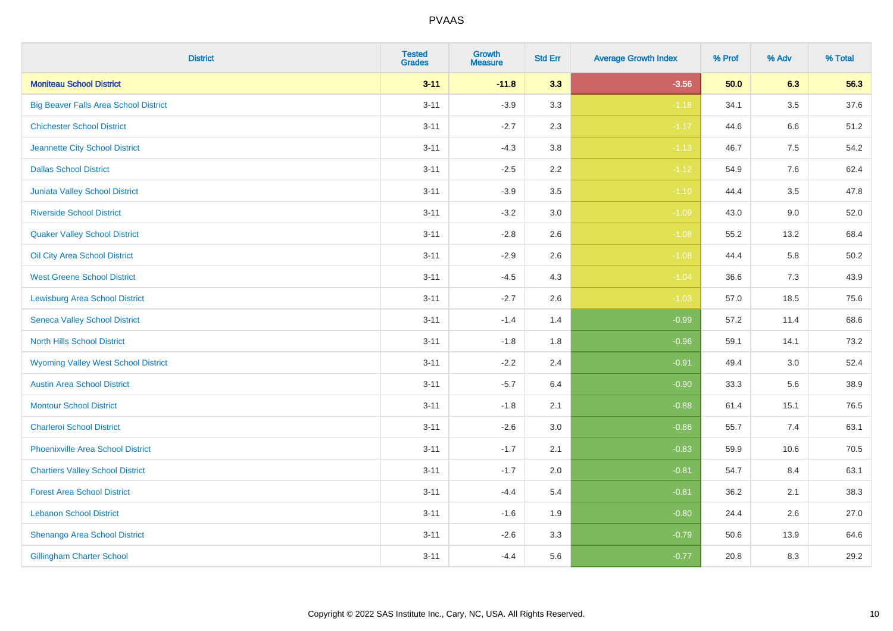| <b>District</b>                              | <b>Tested</b><br><b>Grades</b> | Growth<br><b>Measure</b> | <b>Std Err</b> | <b>Average Growth Index</b> | % Prof | % Adv   | % Total |
|----------------------------------------------|--------------------------------|--------------------------|----------------|-----------------------------|--------|---------|---------|
| <b>Moniteau School District</b>              | $3 - 11$                       | $-11.8$                  | 3.3            | $-3.56$                     | 50.0   | 6.3     | 56.3    |
| <b>Big Beaver Falls Area School District</b> | $3 - 11$                       | $-3.9$                   | 3.3            | $-1.18$                     | 34.1   | 3.5     | 37.6    |
| <b>Chichester School District</b>            | $3 - 11$                       | $-2.7$                   | 2.3            | $-1.17$                     | 44.6   | 6.6     | 51.2    |
| Jeannette City School District               | $3 - 11$                       | $-4.3$                   | 3.8            | $-1.13$                     | 46.7   | $7.5\,$ | 54.2    |
| <b>Dallas School District</b>                | $3 - 11$                       | $-2.5$                   | 2.2            | $-1.12$                     | 54.9   | 7.6     | 62.4    |
| Juniata Valley School District               | $3 - 11$                       | $-3.9$                   | 3.5            | $-1.10$                     | 44.4   | 3.5     | 47.8    |
| <b>Riverside School District</b>             | $3 - 11$                       | $-3.2$                   | 3.0            | $-1.09$                     | 43.0   | 9.0     | 52.0    |
| <b>Quaker Valley School District</b>         | $3 - 11$                       | $-2.8$                   | 2.6            | $-1.08$                     | 55.2   | 13.2    | 68.4    |
| Oil City Area School District                | $3 - 11$                       | $-2.9$                   | 2.6            | $-1.08$                     | 44.4   | 5.8     | 50.2    |
| <b>West Greene School District</b>           | $3 - 11$                       | $-4.5$                   | 4.3            | $-1.04$                     | 36.6   | 7.3     | 43.9    |
| <b>Lewisburg Area School District</b>        | $3 - 11$                       | $-2.7$                   | 2.6            | $-1.03$                     | 57.0   | 18.5    | 75.6    |
| <b>Seneca Valley School District</b>         | $3 - 11$                       | $-1.4$                   | 1.4            | $-0.99$                     | 57.2   | 11.4    | 68.6    |
| <b>North Hills School District</b>           | $3 - 11$                       | $-1.8$                   | 1.8            | $-0.96$                     | 59.1   | 14.1    | 73.2    |
| <b>Wyoming Valley West School District</b>   | $3 - 11$                       | $-2.2$                   | 2.4            | $-0.91$                     | 49.4   | 3.0     | 52.4    |
| <b>Austin Area School District</b>           | $3 - 11$                       | $-5.7$                   | 6.4            | $-0.90$                     | 33.3   | 5.6     | 38.9    |
| <b>Montour School District</b>               | $3 - 11$                       | $-1.8$                   | 2.1            | $-0.88$                     | 61.4   | 15.1    | 76.5    |
| <b>Charleroi School District</b>             | $3 - 11$                       | $-2.6$                   | 3.0            | $-0.86$                     | 55.7   | 7.4     | 63.1    |
| <b>Phoenixville Area School District</b>     | $3 - 11$                       | $-1.7$                   | 2.1            | $-0.83$                     | 59.9   | 10.6    | 70.5    |
| <b>Chartiers Valley School District</b>      | $3 - 11$                       | $-1.7$                   | 2.0            | $-0.81$                     | 54.7   | 8.4     | 63.1    |
| <b>Forest Area School District</b>           | $3 - 11$                       | $-4.4$                   | 5.4            | $-0.81$                     | 36.2   | 2.1     | 38.3    |
| <b>Lebanon School District</b>               | $3 - 11$                       | $-1.6$                   | 1.9            | $-0.80$                     | 24.4   | 2.6     | 27.0    |
| Shenango Area School District                | $3 - 11$                       | $-2.6$                   | 3.3            | $-0.79$                     | 50.6   | 13.9    | 64.6    |
| <b>Gillingham Charter School</b>             | $3 - 11$                       | $-4.4$                   | 5.6            | $-0.77$                     | 20.8   | 8.3     | 29.2    |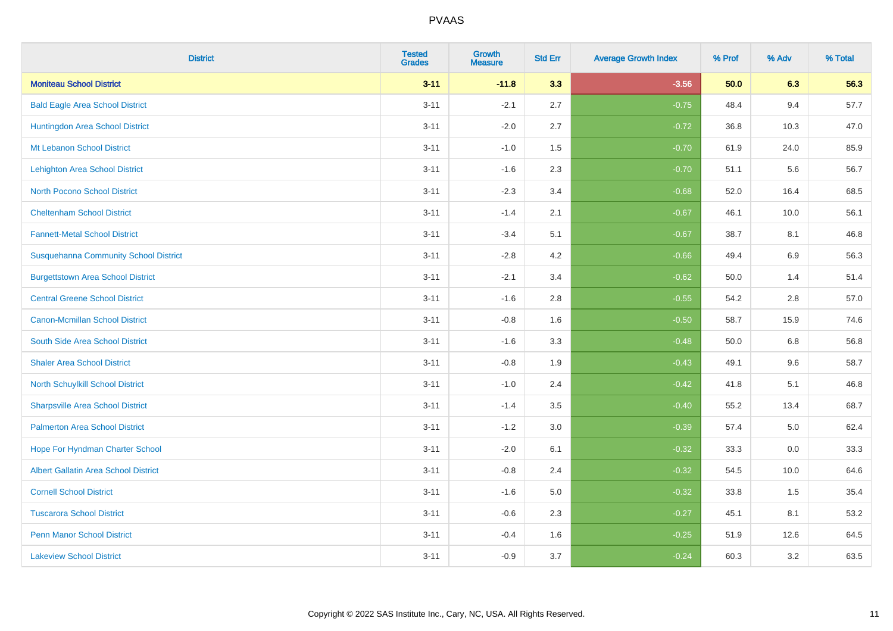| <b>District</b>                              | <b>Tested</b><br><b>Grades</b> | <b>Growth</b><br><b>Measure</b> | <b>Std Err</b> | <b>Average Growth Index</b> | % Prof | % Adv | % Total |
|----------------------------------------------|--------------------------------|---------------------------------|----------------|-----------------------------|--------|-------|---------|
| <b>Moniteau School District</b>              | $3 - 11$                       | $-11.8$                         | 3.3            | $-3.56$                     | 50.0   | 6.3   | 56.3    |
| <b>Bald Eagle Area School District</b>       | $3 - 11$                       | $-2.1$                          | 2.7            | $-0.75$                     | 48.4   | 9.4   | 57.7    |
| Huntingdon Area School District              | $3 - 11$                       | $-2.0$                          | 2.7            | $-0.72$                     | 36.8   | 10.3  | 47.0    |
| Mt Lebanon School District                   | $3 - 11$                       | $-1.0$                          | 1.5            | $-0.70$                     | 61.9   | 24.0  | 85.9    |
| <b>Lehighton Area School District</b>        | $3 - 11$                       | $-1.6$                          | 2.3            | $-0.70$                     | 51.1   | 5.6   | 56.7    |
| <b>North Pocono School District</b>          | $3 - 11$                       | $-2.3$                          | 3.4            | $-0.68$                     | 52.0   | 16.4  | 68.5    |
| <b>Cheltenham School District</b>            | $3 - 11$                       | $-1.4$                          | 2.1            | $-0.67$                     | 46.1   | 10.0  | 56.1    |
| <b>Fannett-Metal School District</b>         | $3 - 11$                       | $-3.4$                          | 5.1            | $-0.67$                     | 38.7   | 8.1   | 46.8    |
| <b>Susquehanna Community School District</b> | $3 - 11$                       | $-2.8$                          | 4.2            | $-0.66$                     | 49.4   | 6.9   | 56.3    |
| <b>Burgettstown Area School District</b>     | $3 - 11$                       | $-2.1$                          | 3.4            | $-0.62$                     | 50.0   | 1.4   | 51.4    |
| <b>Central Greene School District</b>        | $3 - 11$                       | $-1.6$                          | 2.8            | $-0.55$                     | 54.2   | 2.8   | 57.0    |
| <b>Canon-Mcmillan School District</b>        | $3 - 11$                       | $-0.8$                          | 1.6            | $-0.50$                     | 58.7   | 15.9  | 74.6    |
| South Side Area School District              | $3 - 11$                       | $-1.6$                          | 3.3            | $-0.48$                     | 50.0   | 6.8   | 56.8    |
| <b>Shaler Area School District</b>           | $3 - 11$                       | $-0.8$                          | 1.9            | $-0.43$                     | 49.1   | 9.6   | 58.7    |
| North Schuylkill School District             | $3 - 11$                       | $-1.0$                          | 2.4            | $-0.42$                     | 41.8   | 5.1   | 46.8    |
| <b>Sharpsville Area School District</b>      | $3 - 11$                       | $-1.4$                          | 3.5            | $-0.40$                     | 55.2   | 13.4  | 68.7    |
| <b>Palmerton Area School District</b>        | $3 - 11$                       | $-1.2$                          | 3.0            | $-0.39$                     | 57.4   | 5.0   | 62.4    |
| Hope For Hyndman Charter School              | $3 - 11$                       | $-2.0$                          | 6.1            | $-0.32$                     | 33.3   | 0.0   | 33.3    |
| <b>Albert Gallatin Area School District</b>  | $3 - 11$                       | $-0.8$                          | 2.4            | $-0.32$                     | 54.5   | 10.0  | 64.6    |
| <b>Cornell School District</b>               | $3 - 11$                       | $-1.6$                          | 5.0            | $-0.32$                     | 33.8   | 1.5   | 35.4    |
| <b>Tuscarora School District</b>             | $3 - 11$                       | $-0.6$                          | 2.3            | $-0.27$                     | 45.1   | 8.1   | 53.2    |
| <b>Penn Manor School District</b>            | $3 - 11$                       | $-0.4$                          | 1.6            | $-0.25$                     | 51.9   | 12.6  | 64.5    |
| <b>Lakeview School District</b>              | $3 - 11$                       | $-0.9$                          | 3.7            | $-0.24$                     | 60.3   | 3.2   | 63.5    |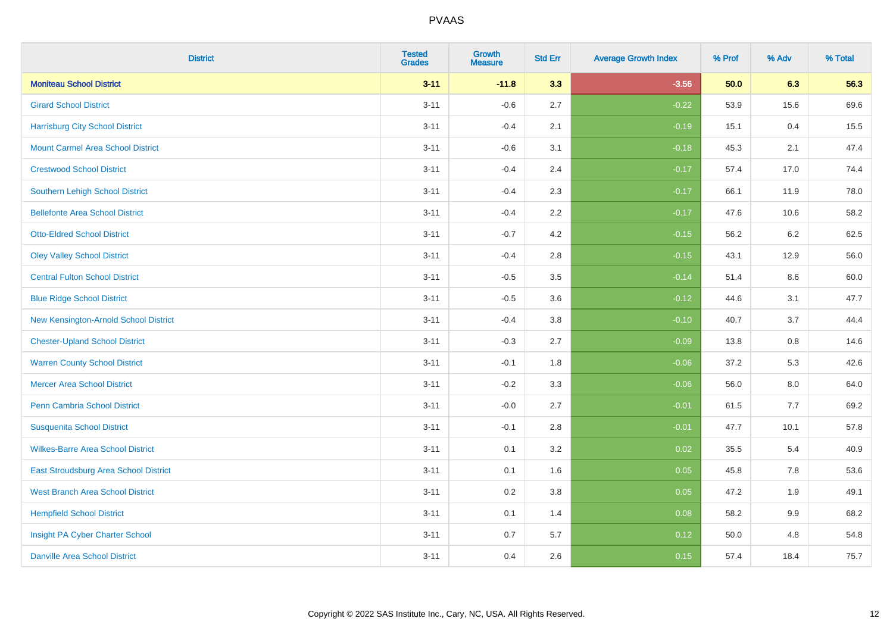| <b>District</b>                          | <b>Tested</b><br><b>Grades</b> | <b>Growth</b><br><b>Measure</b> | <b>Std Err</b> | <b>Average Growth Index</b> | % Prof | % Adv   | % Total |
|------------------------------------------|--------------------------------|---------------------------------|----------------|-----------------------------|--------|---------|---------|
| <b>Moniteau School District</b>          | $3 - 11$                       | $-11.8$                         | 3.3            | $-3.56$                     | 50.0   | 6.3     | 56.3    |
| <b>Girard School District</b>            | $3 - 11$                       | $-0.6$                          | 2.7            | $-0.22$                     | 53.9   | 15.6    | 69.6    |
| <b>Harrisburg City School District</b>   | $3 - 11$                       | $-0.4$                          | 2.1            | $-0.19$                     | 15.1   | 0.4     | 15.5    |
| <b>Mount Carmel Area School District</b> | $3 - 11$                       | $-0.6$                          | 3.1            | $-0.18$                     | 45.3   | 2.1     | 47.4    |
| <b>Crestwood School District</b>         | $3 - 11$                       | $-0.4$                          | 2.4            | $-0.17$                     | 57.4   | 17.0    | 74.4    |
| <b>Southern Lehigh School District</b>   | $3 - 11$                       | $-0.4$                          | 2.3            | $-0.17$                     | 66.1   | 11.9    | 78.0    |
| <b>Bellefonte Area School District</b>   | $3 - 11$                       | $-0.4$                          | 2.2            | $-0.17$                     | 47.6   | 10.6    | 58.2    |
| <b>Otto-Eldred School District</b>       | $3 - 11$                       | $-0.7$                          | 4.2            | $-0.15$                     | 56.2   | $6.2\,$ | 62.5    |
| <b>Oley Valley School District</b>       | $3 - 11$                       | $-0.4$                          | 2.8            | $-0.15$                     | 43.1   | 12.9    | 56.0    |
| <b>Central Fulton School District</b>    | $3 - 11$                       | $-0.5$                          | 3.5            | $-0.14$                     | 51.4   | 8.6     | 60.0    |
| <b>Blue Ridge School District</b>        | $3 - 11$                       | $-0.5$                          | 3.6            | $-0.12$                     | 44.6   | 3.1     | 47.7    |
| New Kensington-Arnold School District    | $3 - 11$                       | $-0.4$                          | 3.8            | $-0.10$                     | 40.7   | 3.7     | 44.4    |
| <b>Chester-Upland School District</b>    | $3 - 11$                       | $-0.3$                          | 2.7            | $-0.09$                     | 13.8   | $0.8\,$ | 14.6    |
| <b>Warren County School District</b>     | $3 - 11$                       | $-0.1$                          | 1.8            | $-0.06$                     | 37.2   | 5.3     | 42.6    |
| <b>Mercer Area School District</b>       | $3 - 11$                       | $-0.2$                          | 3.3            | $-0.06$                     | 56.0   | $8.0\,$ | 64.0    |
| <b>Penn Cambria School District</b>      | $3 - 11$                       | $-0.0$                          | 2.7            | $-0.01$                     | 61.5   | $7.7$   | 69.2    |
| <b>Susquenita School District</b>        | $3 - 11$                       | $-0.1$                          | 2.8            | $-0.01$                     | 47.7   | 10.1    | 57.8    |
| <b>Wilkes-Barre Area School District</b> | $3 - 11$                       | 0.1                             | 3.2            | 0.02                        | 35.5   | 5.4     | 40.9    |
| East Stroudsburg Area School District    | $3 - 11$                       | 0.1                             | 1.6            | 0.05                        | 45.8   | 7.8     | 53.6    |
| <b>West Branch Area School District</b>  | $3 - 11$                       | 0.2                             | 3.8            | 0.05                        | 47.2   | 1.9     | 49.1    |
| <b>Hempfield School District</b>         | $3 - 11$                       | 0.1                             | 1.4            | 0.08                        | 58.2   | 9.9     | 68.2    |
| Insight PA Cyber Charter School          | $3 - 11$                       | 0.7                             | 5.7            | 0.12                        | 50.0   | 4.8     | 54.8    |
| <b>Danville Area School District</b>     | $3 - 11$                       | 0.4                             | 2.6            | 0.15                        | 57.4   | 18.4    | 75.7    |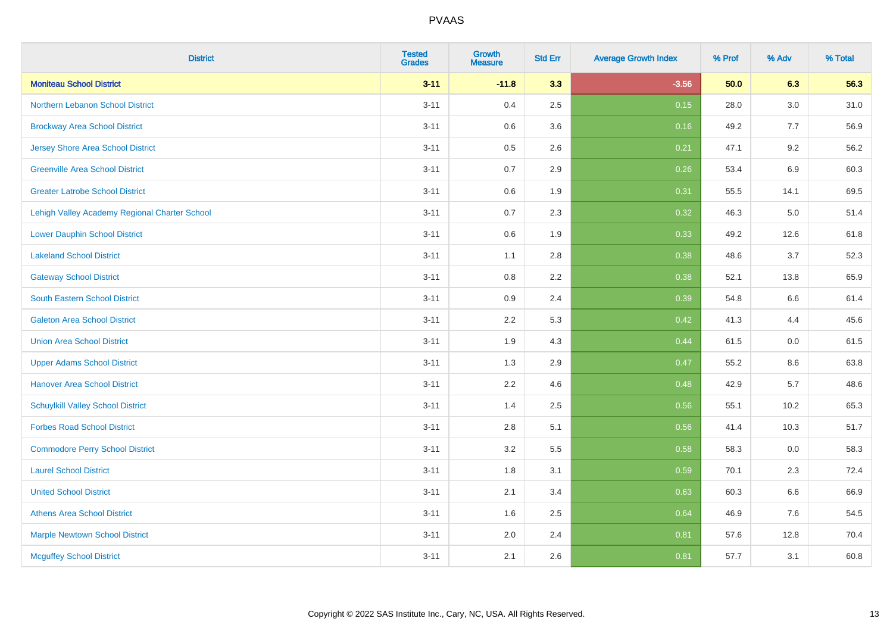| <b>District</b>                               | <b>Tested</b><br><b>Grades</b> | <b>Growth</b><br><b>Measure</b> | <b>Std Err</b> | <b>Average Growth Index</b> | % Prof | % Adv   | % Total |
|-----------------------------------------------|--------------------------------|---------------------------------|----------------|-----------------------------|--------|---------|---------|
| <b>Moniteau School District</b>               | $3 - 11$                       | $-11.8$                         | 3.3            | $-3.56$                     | 50.0   | 6.3     | 56.3    |
| <b>Northern Lebanon School District</b>       | $3 - 11$                       | 0.4                             | 2.5            | 0.15                        | 28.0   | $3.0\,$ | 31.0    |
| <b>Brockway Area School District</b>          | $3 - 11$                       | 0.6                             | 3.6            | 0.16                        | 49.2   | 7.7     | 56.9    |
| <b>Jersey Shore Area School District</b>      | $3 - 11$                       | 0.5                             | 2.6            | 0.21                        | 47.1   | 9.2     | 56.2    |
| <b>Greenville Area School District</b>        | $3 - 11$                       | 0.7                             | 2.9            | 0.26                        | 53.4   | 6.9     | 60.3    |
| <b>Greater Latrobe School District</b>        | $3 - 11$                       | 0.6                             | 1.9            | 0.31                        | 55.5   | 14.1    | 69.5    |
| Lehigh Valley Academy Regional Charter School | $3 - 11$                       | 0.7                             | 2.3            | 0.32                        | 46.3   | 5.0     | 51.4    |
| <b>Lower Dauphin School District</b>          | $3 - 11$                       | $0.6\,$                         | 1.9            | 0.33                        | 49.2   | 12.6    | 61.8    |
| <b>Lakeland School District</b>               | $3 - 11$                       | 1.1                             | 2.8            | 0.38                        | 48.6   | 3.7     | 52.3    |
| <b>Gateway School District</b>                | $3 - 11$                       | 0.8                             | 2.2            | 0.38                        | 52.1   | 13.8    | 65.9    |
| <b>South Eastern School District</b>          | $3 - 11$                       | 0.9                             | 2.4            | 0.39                        | 54.8   | 6.6     | 61.4    |
| <b>Galeton Area School District</b>           | $3 - 11$                       | 2.2                             | 5.3            | 0.42                        | 41.3   | 4.4     | 45.6    |
| <b>Union Area School District</b>             | $3 - 11$                       | 1.9                             | 4.3            | 0.44                        | 61.5   | 0.0     | 61.5    |
| <b>Upper Adams School District</b>            | $3 - 11$                       | 1.3                             | 2.9            | 0.47                        | 55.2   | 8.6     | 63.8    |
| <b>Hanover Area School District</b>           | $3 - 11$                       | 2.2                             | 4.6            | 0.48                        | 42.9   | 5.7     | 48.6    |
| <b>Schuylkill Valley School District</b>      | $3 - 11$                       | 1.4                             | 2.5            | 0.56                        | 55.1   | 10.2    | 65.3    |
| <b>Forbes Road School District</b>            | $3 - 11$                       | 2.8                             | 5.1            | 0.56                        | 41.4   | 10.3    | 51.7    |
| <b>Commodore Perry School District</b>        | $3 - 11$                       | 3.2                             | 5.5            | 0.58                        | 58.3   | 0.0     | 58.3    |
| <b>Laurel School District</b>                 | $3 - 11$                       | 1.8                             | 3.1            | 0.59                        | 70.1   | 2.3     | 72.4    |
| <b>United School District</b>                 | $3 - 11$                       | 2.1                             | 3.4            | 0.63                        | 60.3   | 6.6     | 66.9    |
| <b>Athens Area School District</b>            | $3 - 11$                       | 1.6                             | 2.5            | 0.64                        | 46.9   | 7.6     | 54.5    |
| <b>Marple Newtown School District</b>         | $3 - 11$                       | 2.0                             | 2.4            | 0.81                        | 57.6   | 12.8    | 70.4    |
| <b>Mcguffey School District</b>               | $3 - 11$                       | 2.1                             | 2.6            | 0.81                        | 57.7   | 3.1     | 60.8    |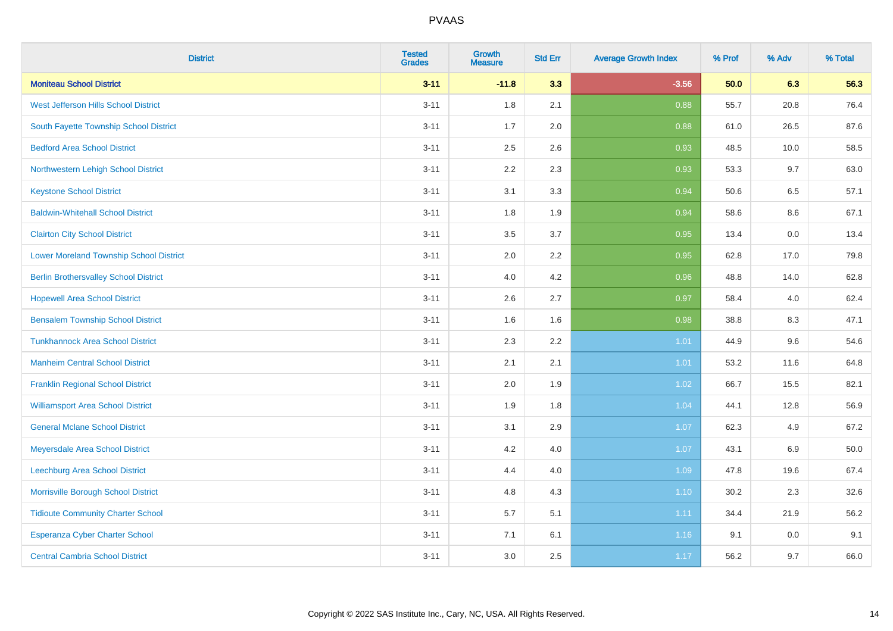| <b>District</b>                                | <b>Tested</b><br><b>Grades</b> | Growth<br><b>Measure</b> | <b>Std Err</b> | <b>Average Growth Index</b> | % Prof | % Adv   | % Total |
|------------------------------------------------|--------------------------------|--------------------------|----------------|-----------------------------|--------|---------|---------|
| <b>Moniteau School District</b>                | $3 - 11$                       | $-11.8$                  | 3.3            | $-3.56$                     | 50.0   | 6.3     | 56.3    |
| West Jefferson Hills School District           | $3 - 11$                       | 1.8                      | 2.1            | 0.88                        | 55.7   | 20.8    | 76.4    |
| South Fayette Township School District         | $3 - 11$                       | 1.7                      | 2.0            | 0.88                        | 61.0   | 26.5    | 87.6    |
| <b>Bedford Area School District</b>            | $3 - 11$                       | 2.5                      | 2.6            | 0.93                        | 48.5   | 10.0    | 58.5    |
| Northwestern Lehigh School District            | $3 - 11$                       | 2.2                      | 2.3            | 0.93                        | 53.3   | 9.7     | 63.0    |
| <b>Keystone School District</b>                | $3 - 11$                       | 3.1                      | 3.3            | 0.94                        | 50.6   | 6.5     | 57.1    |
| <b>Baldwin-Whitehall School District</b>       | $3 - 11$                       | 1.8                      | 1.9            | 0.94                        | 58.6   | $8.6\,$ | 67.1    |
| <b>Clairton City School District</b>           | $3 - 11$                       | 3.5                      | 3.7            | 0.95                        | 13.4   | 0.0     | 13.4    |
| <b>Lower Moreland Township School District</b> | $3 - 11$                       | 2.0                      | 2.2            | 0.95                        | 62.8   | 17.0    | 79.8    |
| <b>Berlin Brothersvalley School District</b>   | $3 - 11$                       | 4.0                      | 4.2            | 0.96                        | 48.8   | 14.0    | 62.8    |
| <b>Hopewell Area School District</b>           | $3 - 11$                       | 2.6                      | 2.7            | 0.97                        | 58.4   | 4.0     | 62.4    |
| <b>Bensalem Township School District</b>       | $3 - 11$                       | 1.6                      | 1.6            | 0.98                        | 38.8   | 8.3     | 47.1    |
| <b>Tunkhannock Area School District</b>        | $3 - 11$                       | 2.3                      | 2.2            | 1.01                        | 44.9   | 9.6     | 54.6    |
| <b>Manheim Central School District</b>         | $3 - 11$                       | 2.1                      | 2.1            | 1.01                        | 53.2   | 11.6    | 64.8    |
| <b>Franklin Regional School District</b>       | $3 - 11$                       | 2.0                      | 1.9            | 1.02                        | 66.7   | 15.5    | 82.1    |
| <b>Williamsport Area School District</b>       | $3 - 11$                       | 1.9                      | 1.8            | 1.04                        | 44.1   | 12.8    | 56.9    |
| <b>General Mclane School District</b>          | $3 - 11$                       | 3.1                      | 2.9            | 1.07                        | 62.3   | 4.9     | 67.2    |
| Meyersdale Area School District                | $3 - 11$                       | 4.2                      | 4.0            | 1.07                        | 43.1   | $6.9\,$ | 50.0    |
| <b>Leechburg Area School District</b>          | $3 - 11$                       | 4.4                      | 4.0            | 1.09                        | 47.8   | 19.6    | 67.4    |
| Morrisville Borough School District            | $3 - 11$                       | 4.8                      | 4.3            | 1.10                        | 30.2   | 2.3     | 32.6    |
| <b>Tidioute Community Charter School</b>       | $3 - 11$                       | 5.7                      | 5.1            | 1.11                        | 34.4   | 21.9    | 56.2    |
| Esperanza Cyber Charter School                 | $3 - 11$                       | 7.1                      | 6.1            | 1.16                        | 9.1    | 0.0     | 9.1     |
| <b>Central Cambria School District</b>         | $3 - 11$                       | 3.0                      | 2.5            | 1.17                        | 56.2   | 9.7     | 66.0    |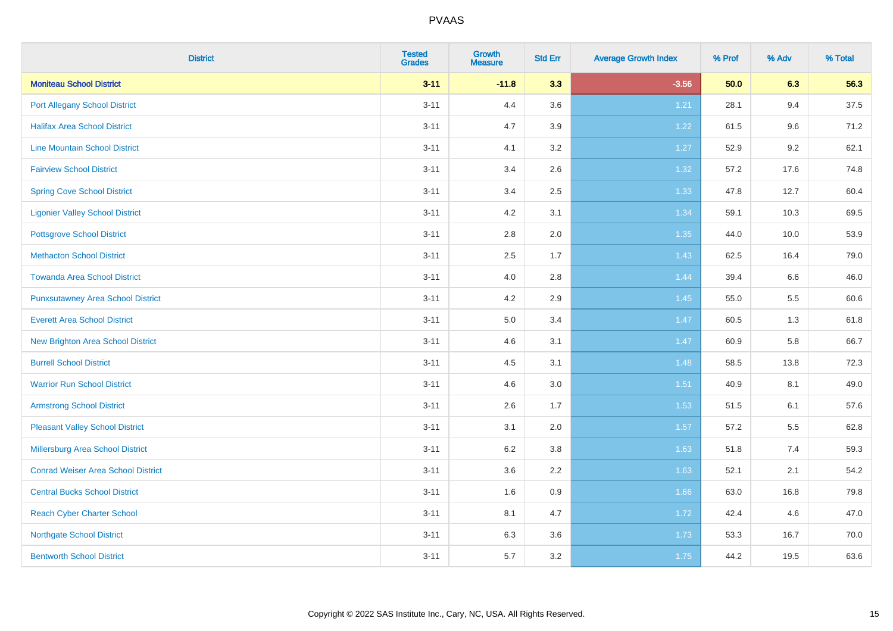| <b>District</b>                           | <b>Tested</b><br><b>Grades</b> | <b>Growth</b><br><b>Measure</b> | <b>Std Err</b> | <b>Average Growth Index</b> | % Prof | % Adv   | % Total |
|-------------------------------------------|--------------------------------|---------------------------------|----------------|-----------------------------|--------|---------|---------|
| <b>Moniteau School District</b>           | $3 - 11$                       | $-11.8$                         | 3.3            | $-3.56$                     | 50.0   | 6.3     | 56.3    |
| <b>Port Allegany School District</b>      | $3 - 11$                       | 4.4                             | 3.6            | 1.21                        | 28.1   | 9.4     | 37.5    |
| <b>Halifax Area School District</b>       | $3 - 11$                       | 4.7                             | 3.9            | 1.22                        | 61.5   | 9.6     | 71.2    |
| <b>Line Mountain School District</b>      | $3 - 11$                       | 4.1                             | 3.2            | 1.27                        | 52.9   | $9.2\,$ | 62.1    |
| <b>Fairview School District</b>           | $3 - 11$                       | 3.4                             | 2.6            | 1.32                        | 57.2   | 17.6    | 74.8    |
| <b>Spring Cove School District</b>        | $3 - 11$                       | 3.4                             | 2.5            | 1.33                        | 47.8   | 12.7    | 60.4    |
| <b>Ligonier Valley School District</b>    | $3 - 11$                       | 4.2                             | 3.1            | 1.34                        | 59.1   | 10.3    | 69.5    |
| <b>Pottsgrove School District</b>         | $3 - 11$                       | 2.8                             | 2.0            | 1.35                        | 44.0   | 10.0    | 53.9    |
| <b>Methacton School District</b>          | $3 - 11$                       | 2.5                             | 1.7            | 1.43                        | 62.5   | 16.4    | 79.0    |
| <b>Towanda Area School District</b>       | $3 - 11$                       | 4.0                             | 2.8            | 1.44                        | 39.4   | 6.6     | 46.0    |
| <b>Punxsutawney Area School District</b>  | $3 - 11$                       | 4.2                             | 2.9            | 1.45                        | 55.0   | 5.5     | 60.6    |
| <b>Everett Area School District</b>       | $3 - 11$                       | 5.0                             | 3.4            | 1.47                        | 60.5   | 1.3     | 61.8    |
| New Brighton Area School District         | $3 - 11$                       | 4.6                             | 3.1            | 1.47                        | 60.9   | 5.8     | 66.7    |
| <b>Burrell School District</b>            | $3 - 11$                       | 4.5                             | 3.1            | 1.48                        | 58.5   | 13.8    | 72.3    |
| <b>Warrior Run School District</b>        | $3 - 11$                       | 4.6                             | 3.0            | 1.51                        | 40.9   | 8.1     | 49.0    |
| <b>Armstrong School District</b>          | $3 - 11$                       | 2.6                             | 1.7            | 1.53                        | 51.5   | 6.1     | 57.6    |
| <b>Pleasant Valley School District</b>    | $3 - 11$                       | 3.1                             | 2.0            | 1.57                        | 57.2   | 5.5     | 62.8    |
| Millersburg Area School District          | $3 - 11$                       | 6.2                             | 3.8            | 1.63                        | 51.8   | 7.4     | 59.3    |
| <b>Conrad Weiser Area School District</b> | $3 - 11$                       | 3.6                             | 2.2            | 1.63                        | 52.1   | 2.1     | 54.2    |
| <b>Central Bucks School District</b>      | $3 - 11$                       | 1.6                             | 0.9            | 1.66                        | 63.0   | 16.8    | 79.8    |
| <b>Reach Cyber Charter School</b>         | $3 - 11$                       | 8.1                             | 4.7            | 1.72                        | 42.4   | 4.6     | 47.0    |
| <b>Northgate School District</b>          | $3 - 11$                       | 6.3                             | 3.6            | 1.73                        | 53.3   | 16.7    | 70.0    |
| <b>Bentworth School District</b>          | $3 - 11$                       | 5.7                             | 3.2            | 1.75                        | 44.2   | 19.5    | 63.6    |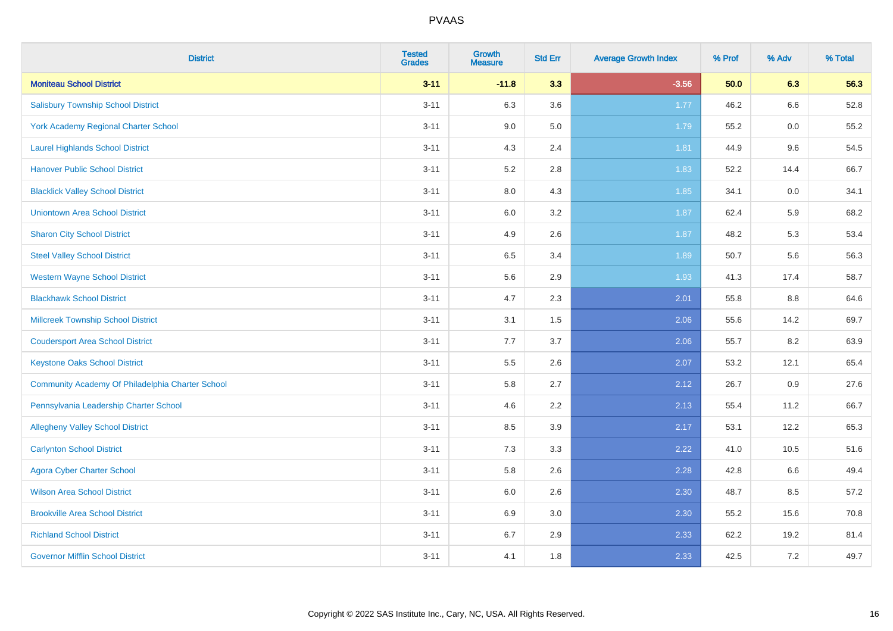| <b>District</b>                                  | <b>Tested</b><br><b>Grades</b> | <b>Growth</b><br><b>Measure</b> | <b>Std Err</b> | <b>Average Growth Index</b> | % Prof | % Adv | % Total |
|--------------------------------------------------|--------------------------------|---------------------------------|----------------|-----------------------------|--------|-------|---------|
| <b>Moniteau School District</b>                  | $3 - 11$                       | $-11.8$                         | 3.3            | $-3.56$                     | 50.0   | 6.3   | 56.3    |
| <b>Salisbury Township School District</b>        | $3 - 11$                       | 6.3                             | 3.6            | 1.77                        | 46.2   | 6.6   | 52.8    |
| York Academy Regional Charter School             | $3 - 11$                       | 9.0                             | 5.0            | 1.79                        | 55.2   | 0.0   | 55.2    |
| <b>Laurel Highlands School District</b>          | $3 - 11$                       | 4.3                             | 2.4            | 1.81                        | 44.9   | 9.6   | 54.5    |
| <b>Hanover Public School District</b>            | $3 - 11$                       | 5.2                             | 2.8            | 1.83                        | 52.2   | 14.4  | 66.7    |
| <b>Blacklick Valley School District</b>          | $3 - 11$                       | $8.0\,$                         | 4.3            | 1.85                        | 34.1   | 0.0   | 34.1    |
| <b>Uniontown Area School District</b>            | $3 - 11$                       | $6.0\,$                         | 3.2            | 1.87                        | 62.4   | 5.9   | 68.2    |
| <b>Sharon City School District</b>               | $3 - 11$                       | 4.9                             | 2.6            | 1.87                        | 48.2   | 5.3   | 53.4    |
| <b>Steel Valley School District</b>              | $3 - 11$                       | 6.5                             | 3.4            | 1.89                        | 50.7   | 5.6   | 56.3    |
| <b>Western Wayne School District</b>             | $3 - 11$                       | $5.6\,$                         | 2.9            | 1.93                        | 41.3   | 17.4  | 58.7    |
| <b>Blackhawk School District</b>                 | $3 - 11$                       | 4.7                             | 2.3            | 2.01                        | 55.8   | 8.8   | 64.6    |
| <b>Millcreek Township School District</b>        | $3 - 11$                       | 3.1                             | 1.5            | 2.06                        | 55.6   | 14.2  | 69.7    |
| <b>Coudersport Area School District</b>          | $3 - 11$                       | 7.7                             | 3.7            | 2.06                        | 55.7   | 8.2   | 63.9    |
| <b>Keystone Oaks School District</b>             | $3 - 11$                       | $5.5\,$                         | 2.6            | 2.07                        | 53.2   | 12.1  | 65.4    |
| Community Academy Of Philadelphia Charter School | $3 - 11$                       | 5.8                             | 2.7            | 2.12                        | 26.7   | 0.9   | 27.6    |
| Pennsylvania Leadership Charter School           | $3 - 11$                       | 4.6                             | 2.2            | 2.13                        | 55.4   | 11.2  | 66.7    |
| <b>Allegheny Valley School District</b>          | $3 - 11$                       | 8.5                             | 3.9            | 2.17                        | 53.1   | 12.2  | 65.3    |
| <b>Carlynton School District</b>                 | $3 - 11$                       | 7.3                             | 3.3            | 2.22                        | 41.0   | 10.5  | 51.6    |
| <b>Agora Cyber Charter School</b>                | $3 - 11$                       | 5.8                             | 2.6            | 2.28                        | 42.8   | 6.6   | 49.4    |
| <b>Wilson Area School District</b>               | $3 - 11$                       | 6.0                             | 2.6            | 2.30                        | 48.7   | 8.5   | 57.2    |
| <b>Brookville Area School District</b>           | $3 - 11$                       | 6.9                             | 3.0            | 2.30                        | 55.2   | 15.6  | 70.8    |
| <b>Richland School District</b>                  | $3 - 11$                       | 6.7                             | 2.9            | 2.33                        | 62.2   | 19.2  | 81.4    |
| <b>Governor Mifflin School District</b>          | $3 - 11$                       | 4.1                             | 1.8            | 2.33                        | 42.5   | 7.2   | 49.7    |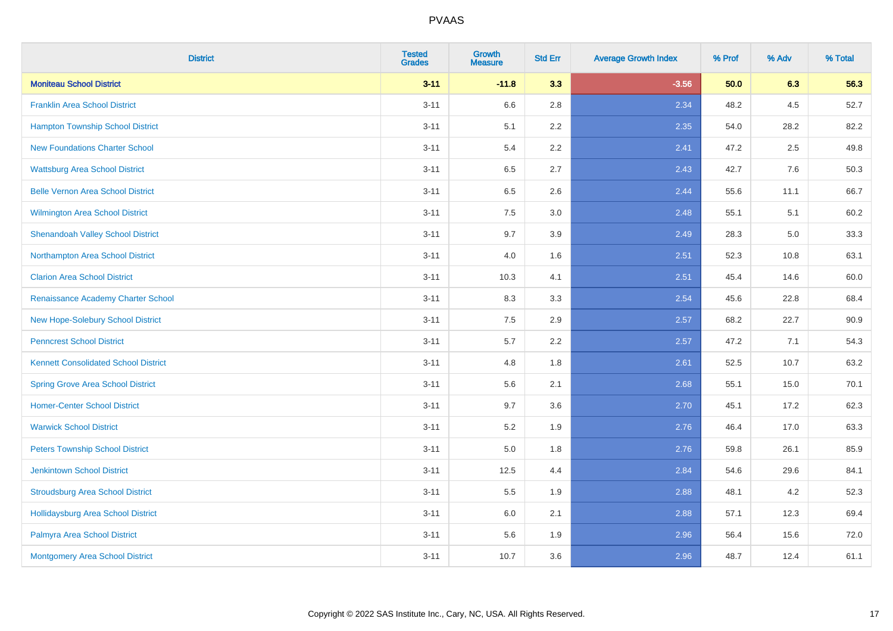| <b>District</b>                             | <b>Tested</b><br><b>Grades</b> | <b>Growth</b><br><b>Measure</b> | <b>Std Err</b> | <b>Average Growth Index</b> | % Prof | % Adv | % Total |
|---------------------------------------------|--------------------------------|---------------------------------|----------------|-----------------------------|--------|-------|---------|
| <b>Moniteau School District</b>             | $3 - 11$                       | $-11.8$                         | 3.3            | $-3.56$                     | 50.0   | 6.3   | 56.3    |
| <b>Franklin Area School District</b>        | $3 - 11$                       | 6.6                             | 2.8            | 2.34                        | 48.2   | 4.5   | 52.7    |
| <b>Hampton Township School District</b>     | $3 - 11$                       | 5.1                             | 2.2            | 2.35                        | 54.0   | 28.2  | 82.2    |
| <b>New Foundations Charter School</b>       | $3 - 11$                       | 5.4                             | 2.2            | 2.41                        | 47.2   | 2.5   | 49.8    |
| <b>Wattsburg Area School District</b>       | $3 - 11$                       | 6.5                             | 2.7            | 2.43                        | 42.7   | 7.6   | 50.3    |
| <b>Belle Vernon Area School District</b>    | $3 - 11$                       | 6.5                             | 2.6            | 2.44                        | 55.6   | 11.1  | 66.7    |
| Wilmington Area School District             | $3 - 11$                       | $7.5\,$                         | 3.0            | 2.48                        | 55.1   | 5.1   | 60.2    |
| <b>Shenandoah Valley School District</b>    | $3 - 11$                       | 9.7                             | 3.9            | 2.49                        | 28.3   | 5.0   | 33.3    |
| Northampton Area School District            | $3 - 11$                       | 4.0                             | 1.6            | 2.51                        | 52.3   | 10.8  | 63.1    |
| <b>Clarion Area School District</b>         | $3 - 11$                       | 10.3                            | 4.1            | 2.51                        | 45.4   | 14.6  | 60.0    |
| Renaissance Academy Charter School          | $3 - 11$                       | 8.3                             | 3.3            | 2.54                        | 45.6   | 22.8  | 68.4    |
| New Hope-Solebury School District           | $3 - 11$                       | 7.5                             | 2.9            | 2.57                        | 68.2   | 22.7  | 90.9    |
| <b>Penncrest School District</b>            | $3 - 11$                       | 5.7                             | 2.2            | 2.57                        | 47.2   | 7.1   | 54.3    |
| <b>Kennett Consolidated School District</b> | $3 - 11$                       | 4.8                             | 1.8            | 2.61                        | 52.5   | 10.7  | 63.2    |
| <b>Spring Grove Area School District</b>    | $3 - 11$                       | 5.6                             | 2.1            | 2.68                        | 55.1   | 15.0  | 70.1    |
| <b>Homer-Center School District</b>         | $3 - 11$                       | 9.7                             | 3.6            | 2.70                        | 45.1   | 17.2  | 62.3    |
| <b>Warwick School District</b>              | $3 - 11$                       | $5.2\,$                         | 1.9            | 2.76                        | 46.4   | 17.0  | 63.3    |
| <b>Peters Township School District</b>      | $3 - 11$                       | 5.0                             | 1.8            | 2.76                        | 59.8   | 26.1  | 85.9    |
| <b>Jenkintown School District</b>           | $3 - 11$                       | 12.5                            | 4.4            | 2.84                        | 54.6   | 29.6  | 84.1    |
| <b>Stroudsburg Area School District</b>     | $3 - 11$                       | 5.5                             | 1.9            | 2.88                        | 48.1   | 4.2   | 52.3    |
| <b>Hollidaysburg Area School District</b>   | $3 - 11$                       | 6.0                             | 2.1            | 2.88                        | 57.1   | 12.3  | 69.4    |
| Palmyra Area School District                | $3 - 11$                       | 5.6                             | 1.9            | 2.96                        | 56.4   | 15.6  | 72.0    |
| Montgomery Area School District             | $3 - 11$                       | 10.7                            | 3.6            | 2.96                        | 48.7   | 12.4  | 61.1    |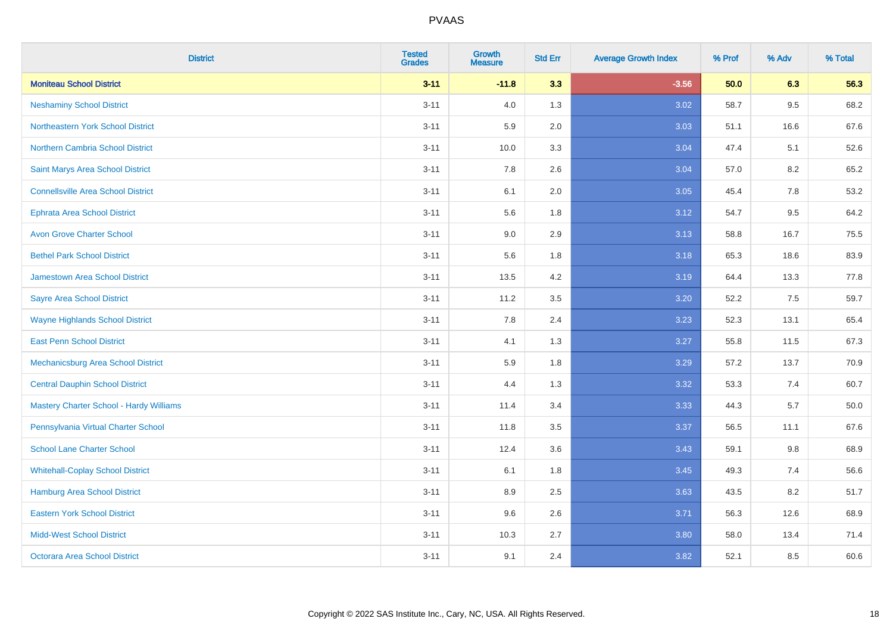| <b>District</b>                                | <b>Tested</b><br><b>Grades</b> | Growth<br><b>Measure</b> | <b>Std Err</b> | <b>Average Growth Index</b> | % Prof | % Adv | % Total |
|------------------------------------------------|--------------------------------|--------------------------|----------------|-----------------------------|--------|-------|---------|
| <b>Moniteau School District</b>                | $3 - 11$                       | $-11.8$                  | 3.3            | $-3.56$                     | 50.0   | 6.3   | 56.3    |
| <b>Neshaminy School District</b>               | $3 - 11$                       | 4.0                      | 1.3            | 3.02                        | 58.7   | 9.5   | 68.2    |
| <b>Northeastern York School District</b>       | $3 - 11$                       | 5.9                      | 2.0            | 3.03                        | 51.1   | 16.6  | 67.6    |
| Northern Cambria School District               | $3 - 11$                       | 10.0                     | 3.3            | 3.04                        | 47.4   | 5.1   | 52.6    |
| Saint Marys Area School District               | $3 - 11$                       | 7.8                      | 2.6            | 3.04                        | 57.0   | 8.2   | 65.2    |
| <b>Connellsville Area School District</b>      | $3 - 11$                       | 6.1                      | 2.0            | 3.05                        | 45.4   | 7.8   | 53.2    |
| <b>Ephrata Area School District</b>            | $3 - 11$                       | 5.6                      | 1.8            | 3.12                        | 54.7   | 9.5   | 64.2    |
| <b>Avon Grove Charter School</b>               | $3 - 11$                       | 9.0                      | 2.9            | 3.13                        | 58.8   | 16.7  | 75.5    |
| <b>Bethel Park School District</b>             | $3 - 11$                       | 5.6                      | 1.8            | 3.18                        | 65.3   | 18.6  | 83.9    |
| <b>Jamestown Area School District</b>          | $3 - 11$                       | 13.5                     | 4.2            | 3.19                        | 64.4   | 13.3  | 77.8    |
| <b>Sayre Area School District</b>              | $3 - 11$                       | 11.2                     | 3.5            | 3.20                        | 52.2   | 7.5   | 59.7    |
| <b>Wayne Highlands School District</b>         | $3 - 11$                       | 7.8                      | 2.4            | 3.23                        | 52.3   | 13.1  | 65.4    |
| <b>East Penn School District</b>               | $3 - 11$                       | 4.1                      | 1.3            | 3.27                        | 55.8   | 11.5  | 67.3    |
| Mechanicsburg Area School District             | $3 - 11$                       | 5.9                      | 1.8            | 3.29                        | 57.2   | 13.7  | 70.9    |
| <b>Central Dauphin School District</b>         | $3 - 11$                       | 4.4                      | 1.3            | 3.32                        | 53.3   | 7.4   | 60.7    |
| <b>Mastery Charter School - Hardy Williams</b> | $3 - 11$                       | 11.4                     | 3.4            | 3.33                        | 44.3   | 5.7   | 50.0    |
| Pennsylvania Virtual Charter School            | $3 - 11$                       | 11.8                     | 3.5            | 3.37                        | 56.5   | 11.1  | 67.6    |
| <b>School Lane Charter School</b>              | $3 - 11$                       | 12.4                     | 3.6            | 3.43                        | 59.1   | 9.8   | 68.9    |
| <b>Whitehall-Coplay School District</b>        | $3 - 11$                       | 6.1                      | 1.8            | 3.45                        | 49.3   | 7.4   | 56.6    |
| Hamburg Area School District                   | $3 - 11$                       | 8.9                      | 2.5            | 3.63                        | 43.5   | 8.2   | 51.7    |
| <b>Eastern York School District</b>            | $3 - 11$                       | 9.6                      | 2.6            | 3.71                        | 56.3   | 12.6  | 68.9    |
| <b>Midd-West School District</b>               | $3 - 11$                       | 10.3                     | 2.7            | 3.80                        | 58.0   | 13.4  | 71.4    |
| <b>Octorara Area School District</b>           | $3 - 11$                       | 9.1                      | 2.4            | 3.82                        | 52.1   | 8.5   | 60.6    |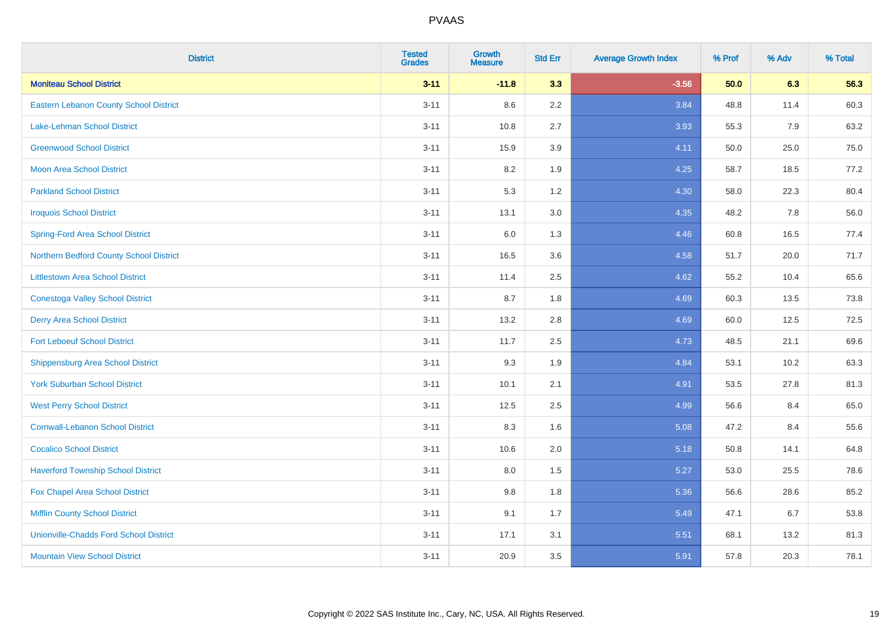| <b>District</b>                               | <b>Tested</b><br><b>Grades</b> | <b>Growth</b><br><b>Measure</b> | <b>Std Err</b> | <b>Average Growth Index</b> | % Prof | % Adv | % Total |
|-----------------------------------------------|--------------------------------|---------------------------------|----------------|-----------------------------|--------|-------|---------|
| <b>Moniteau School District</b>               | $3 - 11$                       | $-11.8$                         | 3.3            | $-3.56$                     | 50.0   | 6.3   | 56.3    |
| <b>Eastern Lebanon County School District</b> | $3 - 11$                       | 8.6                             | 2.2            | 3.84                        | 48.8   | 11.4  | 60.3    |
| Lake-Lehman School District                   | $3 - 11$                       | 10.8                            | 2.7            | 3.93                        | 55.3   | 7.9   | 63.2    |
| <b>Greenwood School District</b>              | $3 - 11$                       | 15.9                            | 3.9            | 4.11                        | 50.0   | 25.0  | 75.0    |
| <b>Moon Area School District</b>              | $3 - 11$                       | 8.2                             | 1.9            | 4.25                        | 58.7   | 18.5  | 77.2    |
| <b>Parkland School District</b>               | $3 - 11$                       | 5.3                             | 1.2            | 4.30                        | 58.0   | 22.3  | 80.4    |
| <b>Iroquois School District</b>               | $3 - 11$                       | 13.1                            | 3.0            | 4.35                        | 48.2   | 7.8   | 56.0    |
| <b>Spring-Ford Area School District</b>       | $3 - 11$                       | 6.0                             | 1.3            | 4.46                        | 60.8   | 16.5  | 77.4    |
| Northern Bedford County School District       | $3 - 11$                       | 16.5                            | 3.6            | 4.58                        | 51.7   | 20.0  | 71.7    |
| <b>Littlestown Area School District</b>       | $3 - 11$                       | 11.4                            | 2.5            | 4.62                        | 55.2   | 10.4  | 65.6    |
| <b>Conestoga Valley School District</b>       | $3 - 11$                       | 8.7                             | 1.8            | 4.69                        | 60.3   | 13.5  | 73.8    |
| <b>Derry Area School District</b>             | $3 - 11$                       | 13.2                            | 2.8            | 4.69                        | 60.0   | 12.5  | 72.5    |
| <b>Fort Leboeuf School District</b>           | $3 - 11$                       | 11.7                            | 2.5            | 4.73                        | 48.5   | 21.1  | 69.6    |
| <b>Shippensburg Area School District</b>      | $3 - 11$                       | 9.3                             | 1.9            | 4.84                        | 53.1   | 10.2  | 63.3    |
| <b>York Suburban School District</b>          | $3 - 11$                       | 10.1                            | 2.1            | 4.91                        | 53.5   | 27.8  | 81.3    |
| <b>West Perry School District</b>             | $3 - 11$                       | 12.5                            | 2.5            | 4.99                        | 56.6   | 8.4   | 65.0    |
| <b>Cornwall-Lebanon School District</b>       | $3 - 11$                       | 8.3                             | 1.6            | 5.08                        | 47.2   | 8.4   | 55.6    |
| <b>Cocalico School District</b>               | $3 - 11$                       | 10.6                            | 2.0            | 5.18                        | 50.8   | 14.1  | 64.8    |
| <b>Haverford Township School District</b>     | $3 - 11$                       | 8.0                             | 1.5            | 5.27                        | 53.0   | 25.5  | 78.6    |
| Fox Chapel Area School District               | $3 - 11$                       | 9.8                             | 1.8            | 5.36                        | 56.6   | 28.6  | 85.2    |
| <b>Mifflin County School District</b>         | $3 - 11$                       | 9.1                             | 1.7            | 5.49                        | 47.1   | 6.7   | 53.8    |
| <b>Unionville-Chadds Ford School District</b> | $3 - 11$                       | 17.1                            | 3.1            | 5.51                        | 68.1   | 13.2  | 81.3    |
| <b>Mountain View School District</b>          | $3 - 11$                       | 20.9                            | 3.5            | 5.91                        | 57.8   | 20.3  | 78.1    |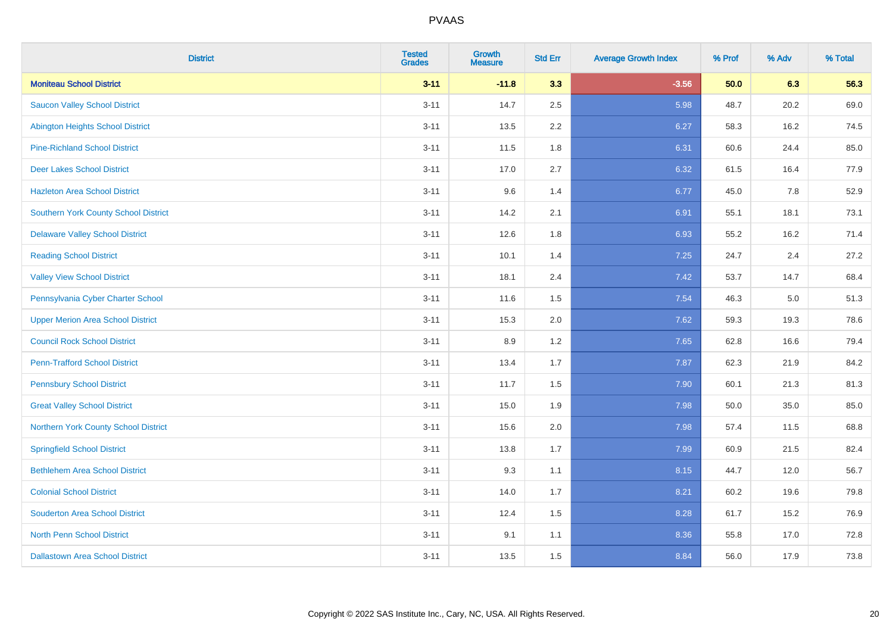| <b>District</b>                             | <b>Tested</b><br><b>Grades</b> | Growth<br><b>Measure</b> | <b>Std Err</b> | <b>Average Growth Index</b> | % Prof | % Adv | % Total |
|---------------------------------------------|--------------------------------|--------------------------|----------------|-----------------------------|--------|-------|---------|
| <b>Moniteau School District</b>             | $3 - 11$                       | $-11.8$                  | 3.3            | $-3.56$                     | 50.0   | 6.3   | 56.3    |
| <b>Saucon Valley School District</b>        | $3 - 11$                       | 14.7                     | 2.5            | 5.98                        | 48.7   | 20.2  | 69.0    |
| <b>Abington Heights School District</b>     | $3 - 11$                       | 13.5                     | 2.2            | 6.27                        | 58.3   | 16.2  | 74.5    |
| <b>Pine-Richland School District</b>        | $3 - 11$                       | 11.5                     | 1.8            | 6.31                        | 60.6   | 24.4  | 85.0    |
| <b>Deer Lakes School District</b>           | $3 - 11$                       | 17.0                     | 2.7            | 6.32                        | 61.5   | 16.4  | 77.9    |
| <b>Hazleton Area School District</b>        | $3 - 11$                       | 9.6                      | 1.4            | 6.77                        | 45.0   | 7.8   | 52.9    |
| <b>Southern York County School District</b> | $3 - 11$                       | 14.2                     | 2.1            | 6.91                        | 55.1   | 18.1  | 73.1    |
| <b>Delaware Valley School District</b>      | $3 - 11$                       | 12.6                     | 1.8            | 6.93                        | 55.2   | 16.2  | 71.4    |
| <b>Reading School District</b>              | $3 - 11$                       | 10.1                     | 1.4            | 7.25                        | 24.7   | 2.4   | 27.2    |
| <b>Valley View School District</b>          | $3 - 11$                       | 18.1                     | 2.4            | 7.42                        | 53.7   | 14.7  | 68.4    |
| Pennsylvania Cyber Charter School           | $3 - 11$                       | 11.6                     | 1.5            | 7.54                        | 46.3   | 5.0   | 51.3    |
| <b>Upper Merion Area School District</b>    | $3 - 11$                       | 15.3                     | 2.0            | 7.62                        | 59.3   | 19.3  | 78.6    |
| <b>Council Rock School District</b>         | $3 - 11$                       | 8.9                      | 1.2            | 7.65                        | 62.8   | 16.6  | 79.4    |
| <b>Penn-Trafford School District</b>        | $3 - 11$                       | 13.4                     | 1.7            | 7.87                        | 62.3   | 21.9  | 84.2    |
| <b>Pennsbury School District</b>            | $3 - 11$                       | 11.7                     | 1.5            | 7.90                        | 60.1   | 21.3  | 81.3    |
| <b>Great Valley School District</b>         | $3 - 11$                       | 15.0                     | 1.9            | 7.98                        | 50.0   | 35.0  | 85.0    |
| Northern York County School District        | $3 - 11$                       | 15.6                     | 2.0            | 7.98                        | 57.4   | 11.5  | 68.8    |
| <b>Springfield School District</b>          | $3 - 11$                       | 13.8                     | 1.7            | 7.99                        | 60.9   | 21.5  | 82.4    |
| <b>Bethlehem Area School District</b>       | $3 - 11$                       | 9.3                      | 1.1            | 8.15                        | 44.7   | 12.0  | 56.7    |
| <b>Colonial School District</b>             | $3 - 11$                       | 14.0                     | 1.7            | 8.21                        | 60.2   | 19.6  | 79.8    |
| <b>Souderton Area School District</b>       | $3 - 11$                       | 12.4                     | 1.5            | 8.28                        | 61.7   | 15.2  | 76.9    |
| <b>North Penn School District</b>           | $3 - 11$                       | 9.1                      | 1.1            | 8.36                        | 55.8   | 17.0  | 72.8    |
| <b>Dallastown Area School District</b>      | $3 - 11$                       | 13.5                     | 1.5            | 8.84                        | 56.0   | 17.9  | 73.8    |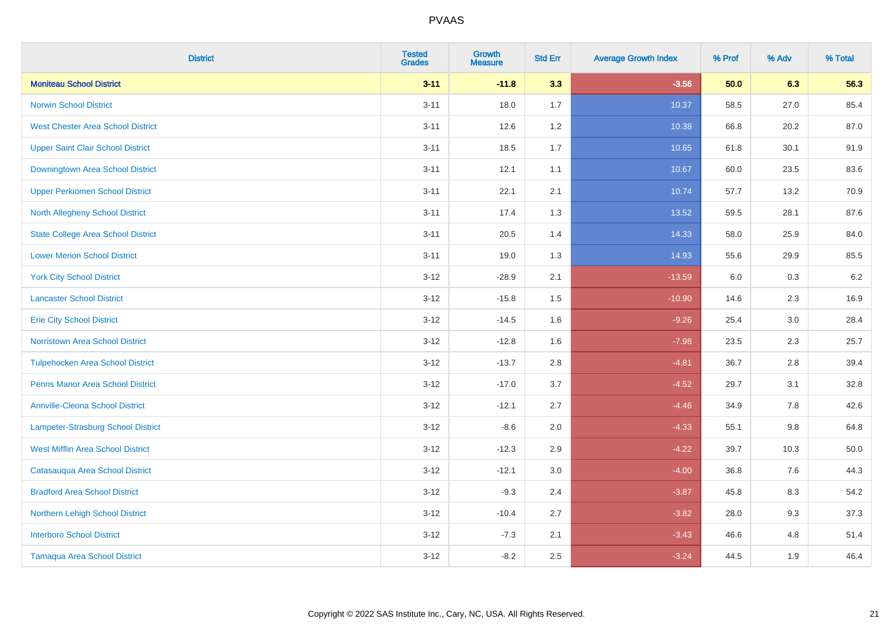| <b>District</b>                           | <b>Tested</b><br><b>Grades</b> | Growth<br><b>Measure</b> | <b>Std Err</b> | <b>Average Growth Index</b> | % Prof | % Adv   | % Total |
|-------------------------------------------|--------------------------------|--------------------------|----------------|-----------------------------|--------|---------|---------|
| <b>Moniteau School District</b>           | $3 - 11$                       | $-11.8$                  | 3.3            | $-3.56$                     | 50.0   | 6.3     | 56.3    |
| <b>Norwin School District</b>             | $3 - 11$                       | 18.0                     | 1.7            | 10.37                       | 58.5   | 27.0    | 85.4    |
| <b>West Chester Area School District</b>  | $3 - 11$                       | 12.6                     | 1.2            | 10.38                       | 66.8   | 20.2    | 87.0    |
| <b>Upper Saint Clair School District</b>  | $3 - 11$                       | 18.5                     | 1.7            | 10.65                       | 61.8   | 30.1    | 91.9    |
| Downingtown Area School District          | $3 - 11$                       | 12.1                     | 1.1            | 10.67                       | 60.0   | 23.5    | 83.6    |
| <b>Upper Perkiomen School District</b>    | $3 - 11$                       | 22.1                     | 2.1            | 10.74                       | 57.7   | 13.2    | 70.9    |
| <b>North Allegheny School District</b>    | $3 - 11$                       | 17.4                     | 1.3            | 13.52                       | 59.5   | 28.1    | 87.6    |
| <b>State College Area School District</b> | $3 - 11$                       | 20.5                     | 1.4            | 14.33                       | 58.0   | 25.9    | 84.0    |
| <b>Lower Merion School District</b>       | $3 - 11$                       | 19.0                     | 1.3            | 14.93                       | 55.6   | 29.9    | 85.5    |
| <b>York City School District</b>          | $3 - 12$                       | $-28.9$                  | 2.1            | $-13.59$                    | 6.0    | 0.3     | $6.2\,$ |
| <b>Lancaster School District</b>          | $3 - 12$                       | $-15.8$                  | 1.5            | $-10.90$                    | 14.6   | 2.3     | 16.9    |
| <b>Erie City School District</b>          | $3 - 12$                       | $-14.5$                  | 1.6            | $-9.26$                     | 25.4   | 3.0     | 28.4    |
| Norristown Area School District           | $3 - 12$                       | $-12.8$                  | 1.6            | $-7.98$                     | 23.5   | 2.3     | 25.7    |
| <b>Tulpehocken Area School District</b>   | $3 - 12$                       | $-13.7$                  | 2.8            | $-4.81$                     | 36.7   | 2.8     | 39.4    |
| <b>Penns Manor Area School District</b>   | $3 - 12$                       | $-17.0$                  | 3.7            | $-4.52$                     | 29.7   | 3.1     | 32.8    |
| <b>Annville-Cleona School District</b>    | $3 - 12$                       | $-12.1$                  | 2.7            | $-4.46$                     | 34.9   | $7.8\,$ | 42.6    |
| Lampeter-Strasburg School District        | $3 - 12$                       | $-8.6$                   | 2.0            | $-4.33$                     | 55.1   | 9.8     | 64.8    |
| <b>West Mifflin Area School District</b>  | $3 - 12$                       | $-12.3$                  | 2.9            | $-4.22$                     | 39.7   | 10.3    | 50.0    |
| Catasauqua Area School District           | $3 - 12$                       | $-12.1$                  | 3.0            | $-4.00$                     | 36.8   | 7.6     | 44.3    |
| <b>Bradford Area School District</b>      | $3 - 12$                       | $-9.3$                   | 2.4            | $-3.87$                     | 45.8   | 8.3     | 54.2    |
| Northern Lehigh School District           | $3 - 12$                       | $-10.4$                  | 2.7            | $-3.82$                     | 28.0   | 9.3     | 37.3    |
| <b>Interboro School District</b>          | $3 - 12$                       | $-7.3$                   | 2.1            | $-3.43$                     | 46.6   | 4.8     | 51.4    |
| <b>Tamaqua Area School District</b>       | $3 - 12$                       | $-8.2$                   | 2.5            | $-3.24$                     | 44.5   | 1.9     | 46.4    |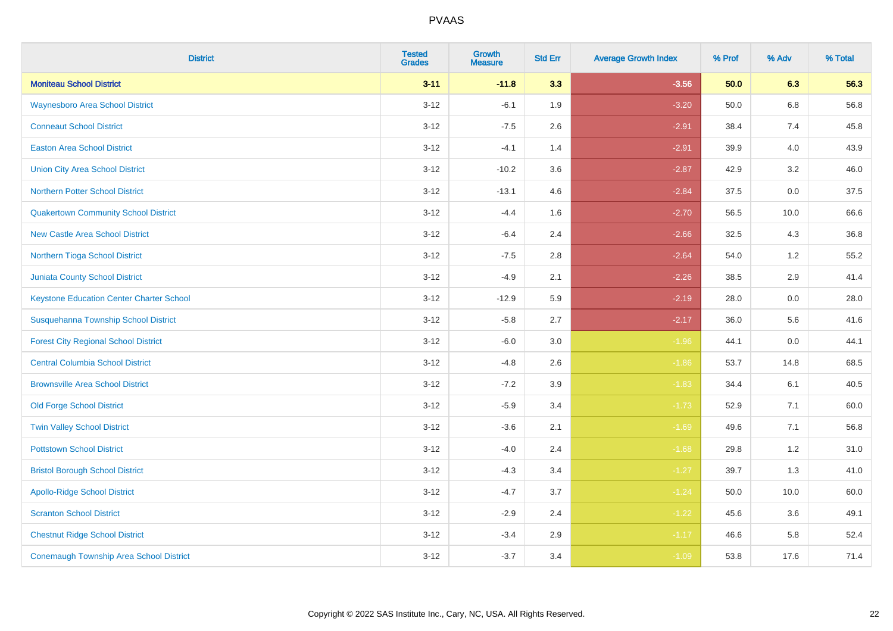| <b>District</b>                                 | <b>Tested</b><br><b>Grades</b> | <b>Growth</b><br><b>Measure</b> | <b>Std Err</b> | <b>Average Growth Index</b> | % Prof | % Adv   | % Total |
|-------------------------------------------------|--------------------------------|---------------------------------|----------------|-----------------------------|--------|---------|---------|
| <b>Moniteau School District</b>                 | $3 - 11$                       | $-11.8$                         | 3.3            | $-3.56$                     | 50.0   | 6.3     | 56.3    |
| <b>Waynesboro Area School District</b>          | $3 - 12$                       | $-6.1$                          | 1.9            | $-3.20$                     | 50.0   | 6.8     | 56.8    |
| <b>Conneaut School District</b>                 | $3 - 12$                       | $-7.5$                          | 2.6            | $-2.91$                     | 38.4   | 7.4     | 45.8    |
| <b>Easton Area School District</b>              | $3 - 12$                       | $-4.1$                          | 1.4            | $-2.91$                     | 39.9   | 4.0     | 43.9    |
| <b>Union City Area School District</b>          | $3 - 12$                       | $-10.2$                         | 3.6            | $-2.87$                     | 42.9   | 3.2     | 46.0    |
| <b>Northern Potter School District</b>          | $3 - 12$                       | $-13.1$                         | 4.6            | $-2.84$                     | 37.5   | $0.0\,$ | 37.5    |
| <b>Quakertown Community School District</b>     | $3 - 12$                       | $-4.4$                          | 1.6            | $-2.70$                     | 56.5   | 10.0    | 66.6    |
| <b>New Castle Area School District</b>          | $3 - 12$                       | $-6.4$                          | 2.4            | $-2.66$                     | 32.5   | 4.3     | 36.8    |
| Northern Tioga School District                  | $3 - 12$                       | $-7.5$                          | 2.8            | $-2.64$                     | 54.0   | 1.2     | 55.2    |
| Juniata County School District                  | $3 - 12$                       | $-4.9$                          | 2.1            | $-2.26$                     | 38.5   | 2.9     | 41.4    |
| <b>Keystone Education Center Charter School</b> | $3 - 12$                       | $-12.9$                         | 5.9            | $-2.19$                     | 28.0   | 0.0     | 28.0    |
| Susquehanna Township School District            | $3 - 12$                       | $-5.8$                          | 2.7            | $-2.17$                     | 36.0   | 5.6     | 41.6    |
| <b>Forest City Regional School District</b>     | $3 - 12$                       | $-6.0$                          | 3.0            | $-1.96$                     | 44.1   | 0.0     | 44.1    |
| <b>Central Columbia School District</b>         | $3-12$                         | $-4.8$                          | 2.6            | $-1.86$                     | 53.7   | 14.8    | 68.5    |
| <b>Brownsville Area School District</b>         | $3-12$                         | $-7.2$                          | 3.9            | $-1.83$                     | 34.4   | 6.1     | 40.5    |
| <b>Old Forge School District</b>                | $3 - 12$                       | $-5.9$                          | 3.4            | $-1.73$                     | 52.9   | 7.1     | 60.0    |
| <b>Twin Valley School District</b>              | $3-12$                         | $-3.6$                          | 2.1            | $-1.69$                     | 49.6   | 7.1     | 56.8    |
| <b>Pottstown School District</b>                | $3-12$                         | $-4.0$                          | 2.4            | $-1.68$                     | 29.8   | 1.2     | 31.0    |
| <b>Bristol Borough School District</b>          | $3 - 12$                       | $-4.3$                          | 3.4            | $-1.27$                     | 39.7   | 1.3     | 41.0    |
| <b>Apollo-Ridge School District</b>             | $3-12$                         | $-4.7$                          | 3.7            | $-1.24$                     | 50.0   | 10.0    | 60.0    |
| <b>Scranton School District</b>                 | $3 - 12$                       | $-2.9$                          | 2.4            | $-1.22$                     | 45.6   | 3.6     | 49.1    |
| <b>Chestnut Ridge School District</b>           | $3 - 12$                       | $-3.4$                          | 2.9            | $-1.17$                     | 46.6   | 5.8     | 52.4    |
| <b>Conemaugh Township Area School District</b>  | $3-12$                         | $-3.7$                          | 3.4            | $-1.09$                     | 53.8   | 17.6    | 71.4    |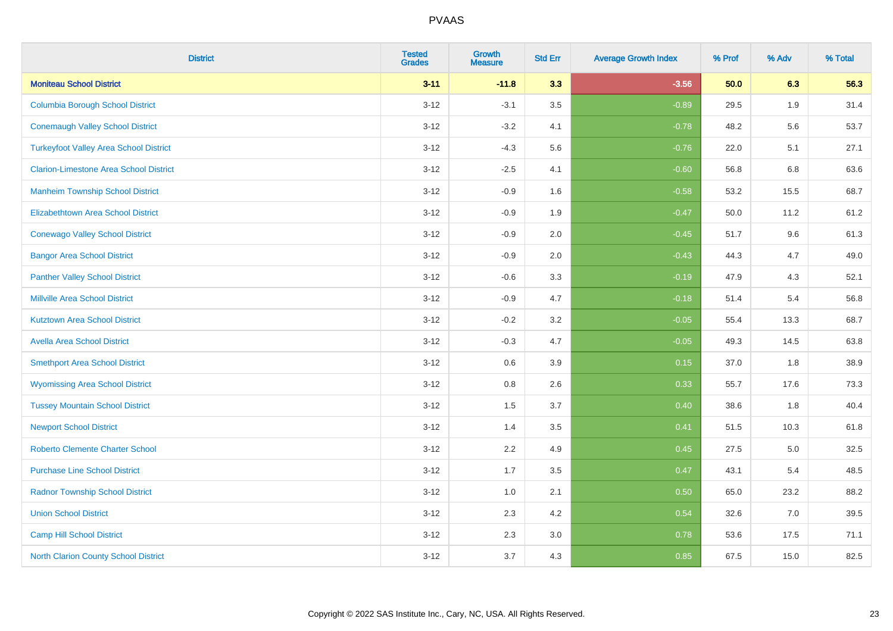| <b>District</b>                               | <b>Tested</b><br><b>Grades</b> | <b>Growth</b><br><b>Measure</b> | <b>Std Err</b> | <b>Average Growth Index</b> | % Prof | % Adv | % Total |
|-----------------------------------------------|--------------------------------|---------------------------------|----------------|-----------------------------|--------|-------|---------|
| <b>Moniteau School District</b>               | $3 - 11$                       | $-11.8$                         | 3.3            | $-3.56$                     | 50.0   | 6.3   | 56.3    |
| <b>Columbia Borough School District</b>       | $3 - 12$                       | $-3.1$                          | 3.5            | $-0.89$                     | 29.5   | 1.9   | 31.4    |
| <b>Conemaugh Valley School District</b>       | $3 - 12$                       | $-3.2$                          | 4.1            | $-0.78$                     | 48.2   | 5.6   | 53.7    |
| <b>Turkeyfoot Valley Area School District</b> | $3 - 12$                       | $-4.3$                          | 5.6            | $-0.76$                     | 22.0   | 5.1   | 27.1    |
| <b>Clarion-Limestone Area School District</b> | $3 - 12$                       | $-2.5$                          | 4.1            | $-0.60$                     | 56.8   | 6.8   | 63.6    |
| <b>Manheim Township School District</b>       | $3 - 12$                       | $-0.9$                          | 1.6            | $-0.58$                     | 53.2   | 15.5  | 68.7    |
| Elizabethtown Area School District            | $3 - 12$                       | $-0.9$                          | 1.9            | $-0.47$                     | 50.0   | 11.2  | 61.2    |
| <b>Conewago Valley School District</b>        | $3 - 12$                       | $-0.9$                          | 2.0            | $-0.45$                     | 51.7   | 9.6   | 61.3    |
| <b>Bangor Area School District</b>            | $3 - 12$                       | $-0.9$                          | 2.0            | $-0.43$                     | 44.3   | 4.7   | 49.0    |
| <b>Panther Valley School District</b>         | $3 - 12$                       | $-0.6$                          | 3.3            | $-0.19$                     | 47.9   | 4.3   | 52.1    |
| <b>Millville Area School District</b>         | $3 - 12$                       | $-0.9$                          | 4.7            | $-0.18$                     | 51.4   | 5.4   | 56.8    |
| <b>Kutztown Area School District</b>          | $3 - 12$                       | $-0.2$                          | 3.2            | $-0.05$                     | 55.4   | 13.3  | 68.7    |
| <b>Avella Area School District</b>            | $3 - 12$                       | $-0.3$                          | 4.7            | $-0.05$                     | 49.3   | 14.5  | 63.8    |
| <b>Smethport Area School District</b>         | $3 - 12$                       | 0.6                             | 3.9            | 0.15                        | 37.0   | 1.8   | 38.9    |
| <b>Wyomissing Area School District</b>        | $3 - 12$                       | 0.8                             | 2.6            | 0.33                        | 55.7   | 17.6  | 73.3    |
| <b>Tussey Mountain School District</b>        | $3 - 12$                       | 1.5                             | 3.7            | 0.40                        | 38.6   | 1.8   | 40.4    |
| <b>Newport School District</b>                | $3 - 12$                       | 1.4                             | 3.5            | 0.41                        | 51.5   | 10.3  | 61.8    |
| <b>Roberto Clemente Charter School</b>        | $3 - 12$                       | 2.2                             | 4.9            | 0.45                        | 27.5   | 5.0   | 32.5    |
| <b>Purchase Line School District</b>          | $3 - 12$                       | 1.7                             | 3.5            | 0.47                        | 43.1   | 5.4   | 48.5    |
| <b>Radnor Township School District</b>        | $3 - 12$                       | 1.0                             | 2.1            | 0.50                        | 65.0   | 23.2  | 88.2    |
| <b>Union School District</b>                  | $3 - 12$                       | 2.3                             | 4.2            | 0.54                        | 32.6   | 7.0   | 39.5    |
| <b>Camp Hill School District</b>              | $3 - 12$                       | 2.3                             | 3.0            | 0.78                        | 53.6   | 17.5  | 71.1    |
| <b>North Clarion County School District</b>   | $3 - 12$                       | 3.7                             | 4.3            | 0.85                        | 67.5   | 15.0  | 82.5    |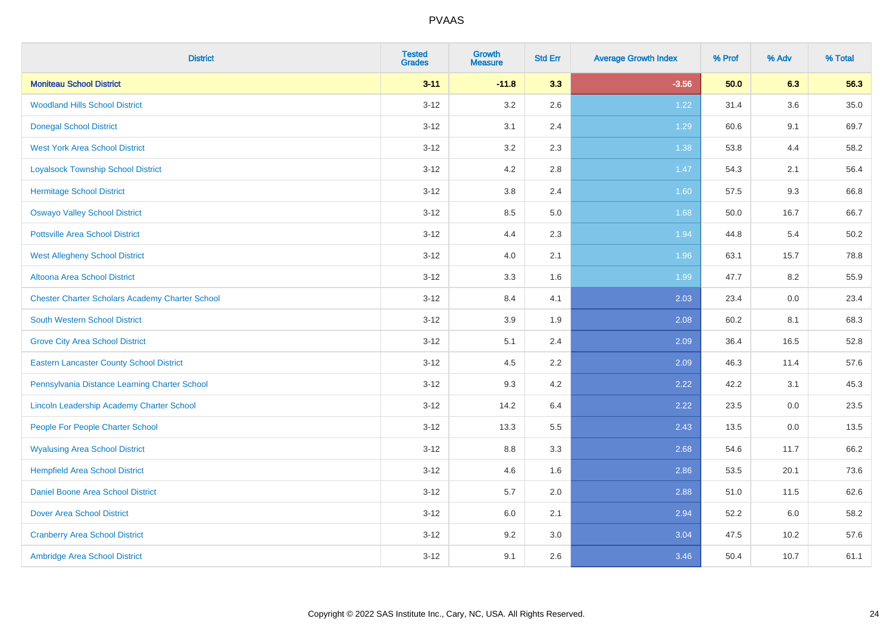| <b>District</b>                                        | <b>Tested</b><br><b>Grades</b> | <b>Growth</b><br><b>Measure</b> | <b>Std Err</b> | <b>Average Growth Index</b> | % Prof | % Adv | % Total |
|--------------------------------------------------------|--------------------------------|---------------------------------|----------------|-----------------------------|--------|-------|---------|
| <b>Moniteau School District</b>                        | $3 - 11$                       | $-11.8$                         | 3.3            | $-3.56$                     | 50.0   | 6.3   | 56.3    |
| <b>Woodland Hills School District</b>                  | $3 - 12$                       | 3.2                             | 2.6            | 1.22                        | 31.4   | 3.6   | 35.0    |
| <b>Donegal School District</b>                         | $3 - 12$                       | 3.1                             | 2.4            | 1.29                        | 60.6   | 9.1   | 69.7    |
| <b>West York Area School District</b>                  | $3 - 12$                       | 3.2                             | 2.3            | 1.38                        | 53.8   | 4.4   | 58.2    |
| <b>Loyalsock Township School District</b>              | $3 - 12$                       | 4.2                             | 2.8            | 1.47                        | 54.3   | 2.1   | 56.4    |
| <b>Hermitage School District</b>                       | $3 - 12$                       | $3.8\,$                         | 2.4            | 1.60                        | 57.5   | 9.3   | 66.8    |
| <b>Oswayo Valley School District</b>                   | $3 - 12$                       | 8.5                             | 5.0            | 1.68                        | 50.0   | 16.7  | 66.7    |
| <b>Pottsville Area School District</b>                 | $3 - 12$                       | 4.4                             | 2.3            | 1.94                        | 44.8   | 5.4   | 50.2    |
| <b>West Allegheny School District</b>                  | $3 - 12$                       | 4.0                             | 2.1            | 1.96                        | 63.1   | 15.7  | 78.8    |
| Altoona Area School District                           | $3 - 12$                       | 3.3                             | 1.6            | 1.99                        | 47.7   | 8.2   | 55.9    |
| <b>Chester Charter Scholars Academy Charter School</b> | $3 - 12$                       | 8.4                             | 4.1            | 2.03                        | 23.4   | 0.0   | 23.4    |
| <b>South Western School District</b>                   | $3 - 12$                       | 3.9                             | 1.9            | 2.08                        | 60.2   | 8.1   | 68.3    |
| <b>Grove City Area School District</b>                 | $3 - 12$                       | 5.1                             | 2.4            | 2.09                        | 36.4   | 16.5  | 52.8    |
| <b>Eastern Lancaster County School District</b>        | $3 - 12$                       | 4.5                             | 2.2            | 2.09                        | 46.3   | 11.4  | 57.6    |
| Pennsylvania Distance Learning Charter School          | $3 - 12$                       | 9.3                             | 4.2            | 2.22                        | 42.2   | 3.1   | 45.3    |
| Lincoln Leadership Academy Charter School              | $3 - 12$                       | 14.2                            | 6.4            | 2.22                        | 23.5   | 0.0   | 23.5    |
| People For People Charter School                       | $3 - 12$                       | 13.3                            | 5.5            | 2.43                        | 13.5   | 0.0   | 13.5    |
| <b>Wyalusing Area School District</b>                  | $3 - 12$                       | $8.8\,$                         | 3.3            | 2.68                        | 54.6   | 11.7  | 66.2    |
| <b>Hempfield Area School District</b>                  | $3 - 12$                       | 4.6                             | 1.6            | 2.86                        | 53.5   | 20.1  | 73.6    |
| Daniel Boone Area School District                      | $3 - 12$                       | 5.7                             | 2.0            | 2.88                        | 51.0   | 11.5  | 62.6    |
| <b>Dover Area School District</b>                      | $3-12$                         | 6.0                             | 2.1            | 2.94                        | 52.2   | 6.0   | 58.2    |
| <b>Cranberry Area School District</b>                  | $3 - 12$                       | 9.2                             | 3.0            | 3.04                        | 47.5   | 10.2  | 57.6    |
| Ambridge Area School District                          | $3 - 12$                       | 9.1                             | 2.6            | 3.46                        | 50.4   | 10.7  | 61.1    |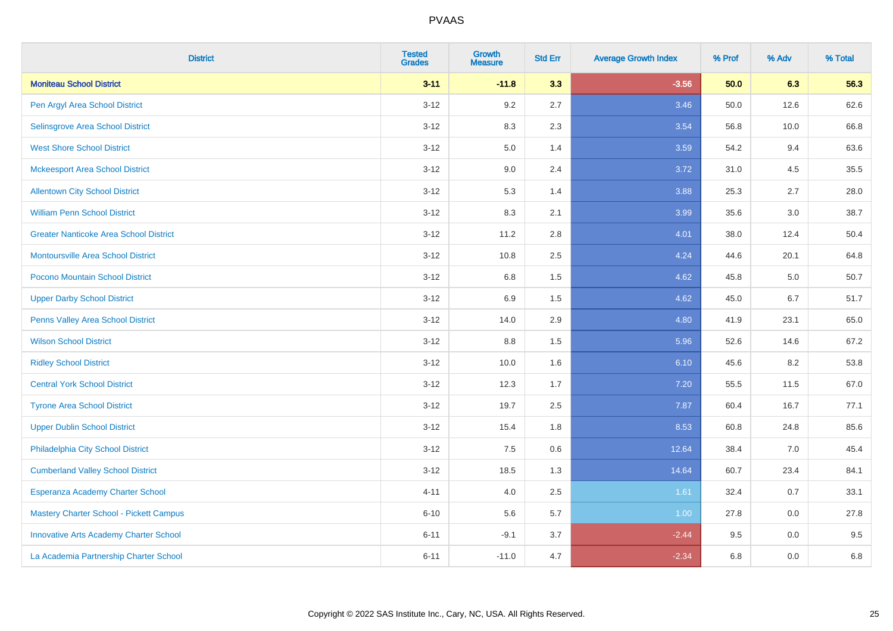| <b>District</b>                               | <b>Tested</b><br><b>Grades</b> | Growth<br><b>Measure</b> | <b>Std Err</b> | <b>Average Growth Index</b> | % Prof | % Adv | % Total |
|-----------------------------------------------|--------------------------------|--------------------------|----------------|-----------------------------|--------|-------|---------|
| <b>Moniteau School District</b>               | $3 - 11$                       | $-11.8$                  | 3.3            | $-3.56$                     | 50.0   | 6.3   | 56.3    |
| Pen Argyl Area School District                | $3 - 12$                       | 9.2                      | 2.7            | 3.46                        | 50.0   | 12.6  | 62.6    |
| Selinsgrove Area School District              | $3-12$                         | 8.3                      | 2.3            | 3.54                        | 56.8   | 10.0  | 66.8    |
| <b>West Shore School District</b>             | $3 - 12$                       | 5.0                      | 1.4            | 3.59                        | 54.2   | 9.4   | 63.6    |
| <b>Mckeesport Area School District</b>        | $3 - 12$                       | 9.0                      | 2.4            | 3.72                        | 31.0   | 4.5   | 35.5    |
| <b>Allentown City School District</b>         | $3-12$                         | 5.3                      | 1.4            | 3.88                        | 25.3   | 2.7   | 28.0    |
| <b>William Penn School District</b>           | $3 - 12$                       | 8.3                      | 2.1            | 3.99                        | 35.6   | 3.0   | 38.7    |
| <b>Greater Nanticoke Area School District</b> | $3 - 12$                       | 11.2                     | 2.8            | 4.01                        | 38.0   | 12.4  | 50.4    |
| <b>Montoursville Area School District</b>     | $3-12$                         | 10.8                     | 2.5            | 4.24                        | 44.6   | 20.1  | 64.8    |
| Pocono Mountain School District               | $3 - 12$                       | $6.8\,$                  | 1.5            | 4.62                        | 45.8   | 5.0   | 50.7    |
| <b>Upper Darby School District</b>            | $3-12$                         | 6.9                      | 1.5            | 4.62                        | 45.0   | 6.7   | 51.7    |
| Penns Valley Area School District             | $3-12$                         | 14.0                     | 2.9            | 4.80                        | 41.9   | 23.1  | 65.0    |
| <b>Wilson School District</b>                 | $3 - 12$                       | 8.8                      | 1.5            | 5.96                        | 52.6   | 14.6  | 67.2    |
| <b>Ridley School District</b>                 | $3-12$                         | 10.0                     | 1.6            | 6.10                        | 45.6   | 8.2   | 53.8    |
| <b>Central York School District</b>           | $3-12$                         | 12.3                     | 1.7            | 7.20                        | 55.5   | 11.5  | 67.0    |
| <b>Tyrone Area School District</b>            | $3 - 12$                       | 19.7                     | 2.5            | 7.87                        | 60.4   | 16.7  | 77.1    |
| <b>Upper Dublin School District</b>           | $3 - 12$                       | 15.4                     | 1.8            | 8.53                        | 60.8   | 24.8  | 85.6    |
| Philadelphia City School District             | $3-12$                         | 7.5                      | 0.6            | 12.64                       | 38.4   | 7.0   | 45.4    |
| <b>Cumberland Valley School District</b>      | $3 - 12$                       | 18.5                     | 1.3            | 14.64                       | 60.7   | 23.4  | 84.1    |
| Esperanza Academy Charter School              | $4 - 11$                       | 4.0                      | 2.5            | 1.61                        | 32.4   | 0.7   | 33.1    |
| Mastery Charter School - Pickett Campus       | $6 - 10$                       | 5.6                      | 5.7            | 1.00                        | 27.8   | 0.0   | 27.8    |
| <b>Innovative Arts Academy Charter School</b> | $6 - 11$                       | $-9.1$                   | 3.7            | $-2.44$                     | 9.5    | 0.0   | 9.5     |
| La Academia Partnership Charter School        | $6 - 11$                       | $-11.0$                  | 4.7            | $-2.34$                     | 6.8    | 0.0   | 6.8     |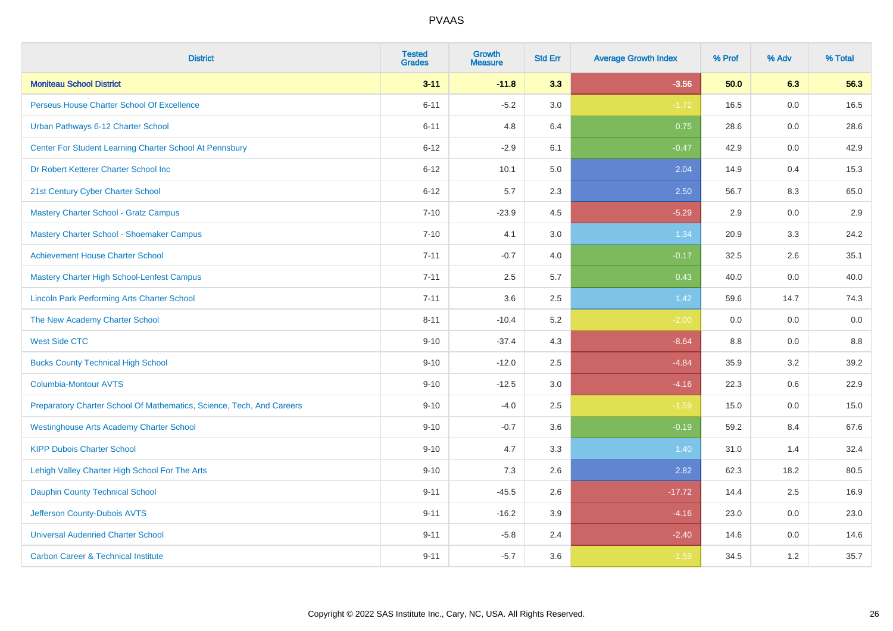| <b>District</b>                                                       | <b>Tested</b><br><b>Grades</b> | Growth<br><b>Measure</b> | <b>Std Err</b> | <b>Average Growth Index</b> | % Prof | % Adv | % Total |
|-----------------------------------------------------------------------|--------------------------------|--------------------------|----------------|-----------------------------|--------|-------|---------|
| <b>Moniteau School District</b>                                       | $3 - 11$                       | $-11.8$                  | 3.3            | $-3.56$                     | 50.0   | 6.3   | 56.3    |
| Perseus House Charter School Of Excellence                            | $6 - 11$                       | $-5.2$                   | 3.0            | $-1.72$                     | 16.5   | 0.0   | 16.5    |
| Urban Pathways 6-12 Charter School                                    | $6 - 11$                       | 4.8                      | 6.4            | 0.75                        | 28.6   | 0.0   | 28.6    |
| Center For Student Learning Charter School At Pennsbury               | $6 - 12$                       | $-2.9$                   | 6.1            | $-0.47$                     | 42.9   | 0.0   | 42.9    |
| Dr Robert Ketterer Charter School Inc                                 | $6 - 12$                       | 10.1                     | 5.0            | 2.04                        | 14.9   | 0.4   | 15.3    |
| 21st Century Cyber Charter School                                     | $6 - 12$                       | 5.7                      | 2.3            | 2.50                        | 56.7   | 8.3   | 65.0    |
| Mastery Charter School - Gratz Campus                                 | $7 - 10$                       | $-23.9$                  | 4.5            | $-5.29$                     | 2.9    | 0.0   | 2.9     |
| Mastery Charter School - Shoemaker Campus                             | $7 - 10$                       | 4.1                      | 3.0            | 1.34                        | 20.9   | 3.3   | 24.2    |
| <b>Achievement House Charter School</b>                               | $7 - 11$                       | $-0.7$                   | 4.0            | $-0.17$                     | 32.5   | 2.6   | 35.1    |
| <b>Mastery Charter High School-Lenfest Campus</b>                     | $7 - 11$                       | 2.5                      | 5.7            | 0.43                        | 40.0   | 0.0   | 40.0    |
| <b>Lincoln Park Performing Arts Charter School</b>                    | $7 - 11$                       | 3.6                      | 2.5            | 1.42                        | 59.6   | 14.7  | 74.3    |
| The New Academy Charter School                                        | $8 - 11$                       | $-10.4$                  | 5.2            | $-2.00$                     | 0.0    | 0.0   | 0.0     |
| <b>West Side CTC</b>                                                  | $9 - 10$                       | $-37.4$                  | 4.3            | $-8.64$                     | 8.8    | 0.0   | 8.8     |
| <b>Bucks County Technical High School</b>                             | $9 - 10$                       | $-12.0$                  | 2.5            | $-4.84$                     | 35.9   | 3.2   | 39.2    |
| <b>Columbia-Montour AVTS</b>                                          | $9 - 10$                       | $-12.5$                  | 3.0            | $-4.16$                     | 22.3   | 0.6   | 22.9    |
| Preparatory Charter School Of Mathematics, Science, Tech, And Careers | $9 - 10$                       | $-4.0$                   | 2.5            | $-1.59$                     | 15.0   | 0.0   | 15.0    |
| <b>Westinghouse Arts Academy Charter School</b>                       | $9 - 10$                       | $-0.7$                   | 3.6            | $-0.19$                     | 59.2   | 8.4   | 67.6    |
| <b>KIPP Dubois Charter School</b>                                     | $9 - 10$                       | 4.7                      | 3.3            | 1.40                        | 31.0   | 1.4   | 32.4    |
| Lehigh Valley Charter High School For The Arts                        | $9 - 10$                       | 7.3                      | 2.6            | 2.82                        | 62.3   | 18.2  | 80.5    |
| <b>Dauphin County Technical School</b>                                | $9 - 11$                       | $-45.5$                  | 2.6            | $-17.72$                    | 14.4   | 2.5   | 16.9    |
| Jefferson County-Dubois AVTS                                          | $9 - 11$                       | $-16.2$                  | 3.9            | $-4.16$                     | 23.0   | 0.0   | 23.0    |
| <b>Universal Audenried Charter School</b>                             | $9 - 11$                       | $-5.8$                   | 2.4            | $-2.40$                     | 14.6   | 0.0   | 14.6    |
| <b>Carbon Career &amp; Technical Institute</b>                        | $9 - 11$                       | $-5.7$                   | 3.6            | $-1.59$                     | 34.5   | 1.2   | 35.7    |